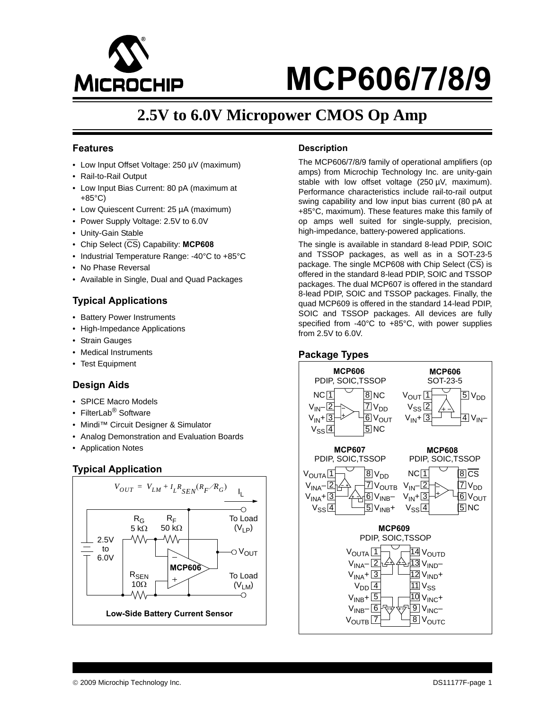

### **2.5V to 6.0V Micropower CMOS Op Amp**

#### **Features**

- Low Input Offset Voltage: 250 µV (maximum)
- Rail-to-Rail Output
- Low Input Bias Current: 80 pA (maximum at +85°C)
- Low Quiescent Current: 25 µA (maximum)
- Power Supply Voltage: 2.5V to 6.0V
- Unity-Gain Stable
- Chip Select (CS) Capability: **MCP608**
- Industrial Temperature Range: -40°C to +85°C
- No Phase Reversal
- Available in Single, Dual and Quad Packages

#### **Typical Applications**

- Battery Power Instruments
- High-Impedance Applications
- Strain Gauges
- Medical Instruments
- Test Equipment

#### **Design Aids**

- SPICE Macro Models
- FilterLab<sup>®</sup> Software
- Mindi™ Circuit Designer & Simulator
- Analog Demonstration and Evaluation Boards
- Application Notes

#### **Typical Application**



#### **Description**

The MCP606/7/8/9 family of operational amplifiers (op amps) from Microchip Technology Inc. are unity-gain stable with low offset voltage (250 µV, maximum). Performance characteristics include rail-to-rail output swing capability and low input bias current (80 pA at +85°C, maximum). These features make this family of op amps well suited for single-supply, precision, high-impedance, battery-powered applications.

The single is available in standard 8-lead PDIP, SOIC and TSSOP packages, as well as in a SOT-23-5 package. The single MCP608 with Chip Select  $(\overline{CS})$  is offered in the standard 8-lead PDIP, SOIC and TSSOP packages. The dual MCP607 is offered in the standard 8-lead PDIP, SOIC and TSSOP packages. Finally, the quad MCP609 is offered in the standard 14-lead PDIP, SOIC and TSSOP packages. All devices are fully specified from -40°C to +85°C, with power supplies from 2.5V to 6.0V.

#### **Package Types**

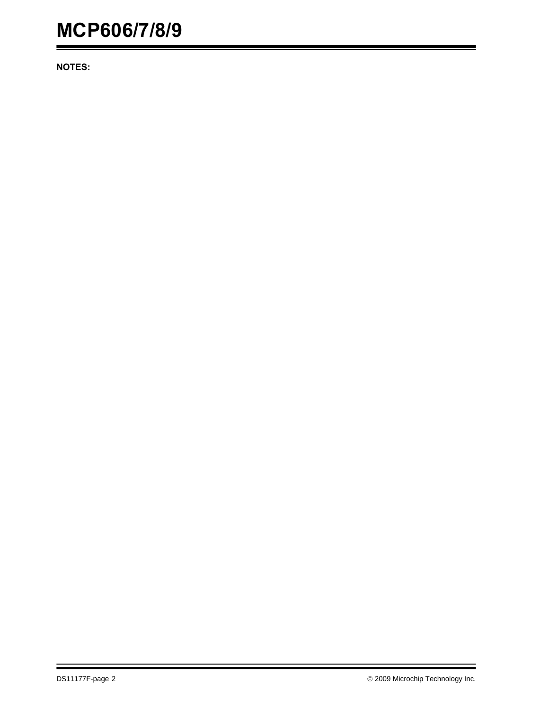**NOTES:**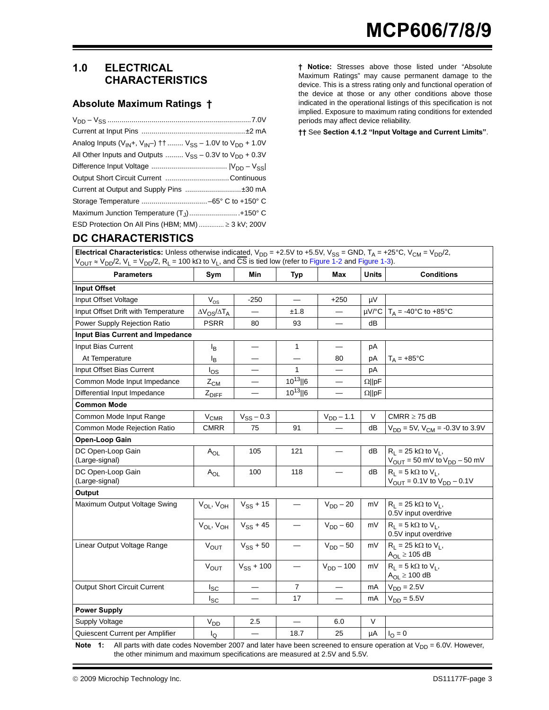#### <span id="page-2-1"></span>**1.0 ELECTRICAL CHARACTERISTICS**

#### <span id="page-2-0"></span>**Absolute Maximum Ratings †**

| Analog Inputs ( $V_{IN}$ +, $V_{IN}$ -) †† $V_{SS}$ – 1.0V to $V_{DD}$ + 1.0V |
|-------------------------------------------------------------------------------|
| All Other Inputs and Outputs $V_{SS}$ – 0.3V to $V_{DD}$ + 0.3V               |
|                                                                               |
|                                                                               |
| Current at Output and Supply Pins ±30 mA                                      |
|                                                                               |
|                                                                               |
| ESD Protection On All Pins (HBM; MM)  ≥ 3 kV; 200V                            |

**† Notice:** Stresses above those listed under "Absolute Maximum Ratings" may cause permanent damage to the device. This is a stress rating only and functional operation of the device at those or any other conditions above those indicated in the operational listings of this specification is not implied. Exposure to maximum rating conditions for extended periods may affect device reliability.

**††** See **[Section 4.1.2 "Input Voltage and Current Limits"](#page-14-0)**.

#### **DC CHARACTERISTICS**

**Electrical Characteristics:** Unless otherwise indica<u>te</u>d, V<sub>DD</sub> = +2.5V to +5.5V, V<sub>SS</sub> = GND, T<sub>A</sub> = +25°C, V<sub>CM</sub> = V<sub>DD</sub>/2,  $V_{\rm OUT}$  ≈  $V_{\rm DD}/2$ ,  $V_{\rm L}$  =  $V_{\rm DD}/2$ ,  $R_{\rm L}$  = 100 kΩ to  $V_{\rm L}$ , and CS is tied low (refer to [Figure 1-2](#page-4-0) and [Figure 1-3](#page-4-1)).

| <b>Parameters</b>                   | Sym                                   | Min            | <b>Typ</b>     | <b>Max</b>     | <b>Units</b>  | <b>Conditions</b>                                                      |
|-------------------------------------|---------------------------------------|----------------|----------------|----------------|---------------|------------------------------------------------------------------------|
| <b>Input Offset</b>                 |                                       |                |                |                |               |                                                                        |
| Input Offset Voltage                | $\ensuremath{\mathsf{V}}_\mathsf{OS}$ | $-250$         |                | $+250$         | μV            |                                                                        |
| Input Offset Drift with Temperature | $\Delta V_{OS}/\Delta T_A$            |                | ±1.8           |                | µV/°C         | $T_A = -40^{\circ}C$ to $+85^{\circ}C$                                 |
| Power Supply Rejection Ratio        | <b>PSRR</b>                           | 80             | 93             |                | dB            |                                                                        |
| Input Bias Current and Impedance    |                                       |                |                |                |               |                                                                        |
| Input Bias Current                  | $I_{\mathsf{B}}$                      |                | 1              |                | pA            |                                                                        |
| At Temperature                      | l <sub>B</sub>                        |                |                | 80             | pA            | $T_A = +85^{\circ}C$                                                   |
| Input Offset Bias Current           | l <sub>OS</sub>                       |                | $\mathbf{1}$   |                | pA            |                                                                        |
| Common Mode Input Impedance         | $Z_{CM}$                              |                | $10^{13}$   6  |                | $\Omega$   pF |                                                                        |
| Differential Input Impedance        | Z <sub>DIFF</sub>                     |                | $10^{13}$   6  | —              | $\Omega$   pF |                                                                        |
| <b>Common Mode</b>                  |                                       |                |                |                |               |                                                                        |
| Common Mode Input Range             | $V_{CMR}$                             | $V_{SS} - 0.3$ |                | $V_{DD} - 1.1$ | V             | CMRR $\geq$ 75 dB                                                      |
| Common Mode Rejection Ratio         | <b>CMRR</b>                           | 75             | 91             |                | dB            | $V_{DD} = 5V$ , $V_{CM} = -0.3V$ to 3.9V                               |
| Open-Loop Gain                      |                                       |                |                |                |               |                                                                        |
| DC Open-Loop Gain<br>(Large-signal) | $A_{OL}$                              | 105            | 121            |                | dB            | $R_1 = 25 k\Omega$ to $V_1$ ,<br>$V_{OUT}$ = 50 mV to $V_{DD}$ – 50 mV |
| DC Open-Loop Gain<br>(Large-signal) | $A_{OL}$                              | 100            | 118            |                | dВ            | $R_1 = 5 k\Omega$ to $V_1$ ,<br>$V_{OUT} = 0.1V$ to $V_{DD} - 0.1V$    |
| Output                              |                                       |                |                |                |               |                                                                        |
| Maximum Output Voltage Swing        | V <sub>OL</sub> , V <sub>OH</sub>     | $V_{SS}$ + 15  |                | $V_{DD} - 20$  | mV            | $R_1 = 25 k\Omega$ to $V_1$ ,<br>0.5V input overdrive                  |
|                                     | V <sub>OL</sub> , V <sub>OH</sub>     | $V_{SS}$ + 45  |                | $V_{DD}$ – 60  | mV            | $R_1 = 5 k\Omega$ to $V_1$ ,<br>0.5V input overdrive                   |
| Linear Output Voltage Range         | $V_{OUT}$                             | $V_{SS}$ + 50  |                | $V_{DD}$ – 50  | mV            | $R_1 = 25 k\Omega$ to $V_1$ ,<br>$A_{OL} \ge 105$ dB                   |
|                                     | <b>V<sub>OUT</sub></b>                | $V_{SS}$ + 100 |                | $V_{DD}$ – 100 | mV            | $R_1 = 5 k\Omega$ to $V_1$ ,<br>$A_{OL} \ge 100$ dB                    |
| <b>Output Short Circuit Current</b> | $I_{SC}$                              |                | $\overline{7}$ |                | mA            | $V_{DD} = 2.5V$                                                        |
|                                     | <sub>sc</sub>                         |                | 17             |                | mA            | $V_{DD} = 5.5V$                                                        |
| <b>Power Supply</b>                 |                                       |                |                |                |               |                                                                        |
| Supply Voltage                      | V <sub>DD</sub>                       | 2.5            |                | 6.0            | $\vee$        |                                                                        |
| Quiescent Current per Amplifier     | lQ                                    |                | 18.7           | 25             | μA            | $I_{\rm O} = 0$                                                        |

**Note 1:** All parts with date codes November 2007 and later have been screened to ensure operation at  $V_{DD} = 6.0V$ . However, the other minimum and maximum specifications are measured at 2.5V and 5.5V.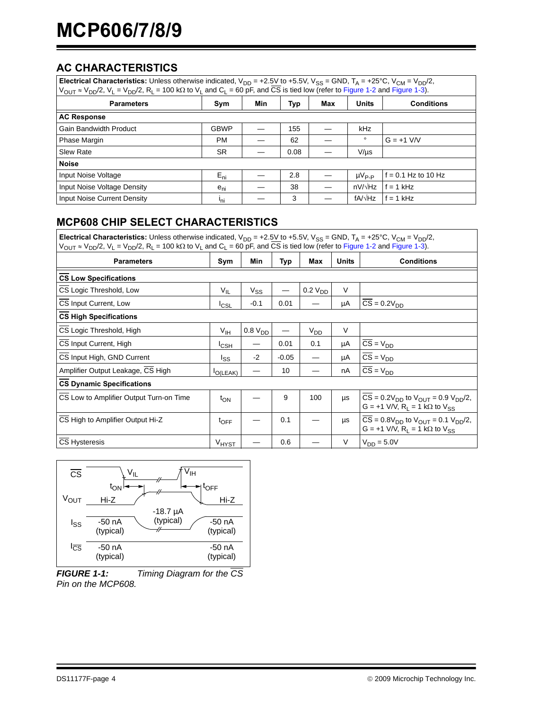#### **AC CHARACTERISTICS**

| <b>Electrical Characteristics:</b> Unless otherwise indicated, $V_{DD}$ = +2.5V to +5.5V, $V_{SS}$ = GND, $T_A$ = +25°C, $V_{CM}$ = $V_{DD}/2$ ,<br>$V_{\text{OUT}} \approx V_{\text{DD}}/2$ , $V_L = V_{\text{DD}}/2$ , R <sub>L</sub> = 100 kΩ to V <sub>L</sub> and C <sub>L</sub> = 60 pF, and CS is tied low (refer to Figure 1-2 and Figure 1-3). |             |  |      |  |                      |                       |  |  |  |
|---------------------------------------------------------------------------------------------------------------------------------------------------------------------------------------------------------------------------------------------------------------------------------------------------------------------------------------------------------|-------------|--|------|--|----------------------|-----------------------|--|--|--|
| <b>Units</b><br><b>Conditions</b><br><b>Parameters</b><br>Sym<br>Min<br>Max<br>Typ                                                                                                                                                                                                                                                                      |             |  |      |  |                      |                       |  |  |  |
| <b>AC Response</b>                                                                                                                                                                                                                                                                                                                                      |             |  |      |  |                      |                       |  |  |  |
| <b>Gain Bandwidth Product</b>                                                                                                                                                                                                                                                                                                                           | <b>GBWP</b> |  | 155  |  | kHz                  |                       |  |  |  |
| Phase Margin                                                                                                                                                                                                                                                                                                                                            | <b>PM</b>   |  | 62   |  | $\circ$              | $G = +1$ V/V          |  |  |  |
| Slew Rate                                                                                                                                                                                                                                                                                                                                               | <b>SR</b>   |  | 0.08 |  | $V/\mu s$            |                       |  |  |  |
| <b>Noise</b>                                                                                                                                                                                                                                                                                                                                            |             |  |      |  |                      |                       |  |  |  |
| Input Noise Voltage                                                                                                                                                                                                                                                                                                                                     | $E_{ni}$    |  | 2.8  |  | $\mu V_{\text{P-P}}$ | $f = 0.1$ Hz to 10 Hz |  |  |  |
| Input Noise Voltage Density                                                                                                                                                                                                                                                                                                                             | $e_{ni}$    |  | 38   |  | $nV/\sqrt{Hz}$       | $f = 1$ kHz           |  |  |  |
| <b>Input Noise Current Density</b>                                                                                                                                                                                                                                                                                                                      | Ini         |  | 3    |  | $fA/\sqrt{Hz}$       | $f = 1$ kHz           |  |  |  |

#### **MCP608 CHIP SELECT CHARACTERISTICS**

**Electrical Characteristics:** Unless otherwise indicated,  $V_{DD}$  = +2.5<u>V</u> to +5.5V,  $V_{SS}$  = GND, T<sub>A</sub> = +25°C, V<sub>CM</sub> = V<sub>DD</sub>/2,  $V_{\rm OUT}$  ≈  $V_{\rm DD}$ /2,  $V_{\rm L}$  =  $V_{\rm DD}$ /2, R<sub>L</sub> = 100 kΩ to  $V_{\rm L}$  and C<sub>L</sub> = 60 pF, and CS is tied low (refer to [Figure 1-2](#page-4-0) and [Figure 1-3\)](#page-4-1). Parameters | Sym | Min | Typ | Max | Units | Conditions **CS Low Specifications**  $\overline{\text{CS}}$  Logic Threshold, Low  $|V_{\text{IL}}|V_{\text{SS}}| = |0.2 V_{\text{DD}}|V$  $\overline{\text{CS}}$  Input Current, Low  $\begin{vmatrix} 1_{\text{CSL}} & -0.1 & 0.01 & -1 \end{vmatrix}$   $\mu$ A  $\overline{\text{CS}}$  = 0.2V<sub>DD</sub> **CS High Specifications**  $\overline{\text{CS}}$  Logic Threshold, High  $|V_{\text{H}}|$  0.8  $V_{\text{DD}}$   $|V_{\text{DD}}|$  V  $\overline{\text{CS}}$  Input Current, High  $|\cdot|_{\text{CSH}}$   $|$   $|$  0.01  $|$  0.1  $|$   $\mu$ A  $|\overline{\text{CS}}$  = V<sub>DD</sub>  $\overline{\text{CS}}$  Input High, GND Current  $\begin{vmatrix} 1_{\text{SS}} & -2 & -0.05 & -1 \end{vmatrix}$   $\mu$ A  $\overline{\text{CS}} = V_{\text{DD}}$ Amplifier Output Leakage,  $\overline{CS}$  High  $\left| \begin{array}{c} |_{O(LEAK)} \end{array} \right|$   $-$  | 10 |  $-$  | nA  $\overline{CS}$  = V<sub>DD</sub> **CS Dynamic Specifications** CS Low to Amplifier Output Turn-on Time  $\qquad$   $\qquad$  t<sub>ON</sub>  $\qquad$   $\qquad$   $\qquad$   $\qquad$   $\qquad$   $\qquad$   $\qquad$   $\qquad$   $\qquad$   $\qquad$   $\qquad$   $\qquad$   $\qquad$   $\qquad$   $\qquad$   $\qquad$   $\qquad$   $\qquad$   $\qquad$   $\qquad$   $\qquad$   $\qquad$   $\qquad$   $\qquad$   $\qquad$   $\qquad$   $\qquad$   $G = +1$  V/V,  $R_L = 1$  kΩ to V<sub>SS</sub> CS High to Amplifier Output Hi-Z tOFF — 0.1 — µs CS = 0.8VDD to VOUT = 0.1 VDD/2,  $G = +1$  V/V,  $R_L = 1$  kΩ to V<sub>SS</sub>  $\overline{\text{CS}}$  Hysteresis  $\vert$  V<sub>HYST</sub>  $\vert$   $\vert$  0.6  $\vert$   $\vert$  V  $\vert$  V<sub>DD</sub> = 5.0V



<span id="page-3-0"></span>*FIGURE 1-1: Timing Diagram for the CS Pin on the MCP608.*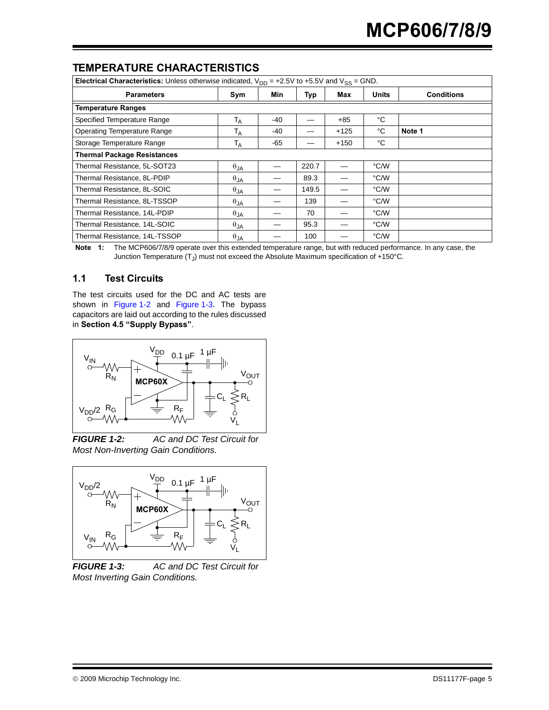#### **TEMPERATURE CHARACTERISTICS**

| <b>Electrical Characteristics:</b> Unless otherwise indicated, $V_{DD}$ = +2.5V to +5.5V and $V_{SS}$ = GND. |                |       |       |        |              |                   |  |  |
|--------------------------------------------------------------------------------------------------------------|----------------|-------|-------|--------|--------------|-------------------|--|--|
| <b>Parameters</b>                                                                                            | Sym            | Min   | Typ   | Max    | <b>Units</b> | <b>Conditions</b> |  |  |
| <b>Temperature Ranges</b>                                                                                    |                |       |       |        |              |                   |  |  |
| Specified Temperature Range                                                                                  | T <sub>A</sub> | -40   |       | +85    | °C           |                   |  |  |
| <b>Operating Temperature Range</b>                                                                           | T <sub>A</sub> | -40   |       | $+125$ | °C           | Note 1            |  |  |
| Storage Temperature Range                                                                                    | $T_A$          | $-65$ |       | $+150$ | °C           |                   |  |  |
| <b>Thermal Package Resistances</b>                                                                           |                |       |       |        |              |                   |  |  |
| Thermal Resistance, 5L-SOT23                                                                                 | $\theta_{JA}$  |       | 220.7 |        | °C/W         |                   |  |  |
| Thermal Resistance, 8L-PDIP                                                                                  | $\theta_{JA}$  |       | 89.3  |        | °C/W         |                   |  |  |
| Thermal Resistance, 8L-SOIC                                                                                  | $\theta_{JA}$  |       | 149.5 |        | °C/W         |                   |  |  |
| Thermal Resistance, 8L-TSSOP                                                                                 | $\theta_{JA}$  |       | 139   |        | °C/W         |                   |  |  |
| Thermal Resistance, 14L-PDIP                                                                                 | $\theta_{JA}$  |       | 70    |        | °C/W         |                   |  |  |
| Thermal Resistance, 14L-SOIC                                                                                 | $\theta_{JA}$  |       | 95.3  |        | °C/W         |                   |  |  |
| Thermal Resistance, 14L-TSSOP                                                                                | $\theta_{JA}$  |       | 100   |        | °C/W         |                   |  |  |

<span id="page-4-2"></span>**Note 1:** The MCP606/7/8/9 operate over this extended temperature range, but with reduced performance. In any case, the Junction Temperature  $(T<sub>J</sub>)$  must not exceed the Absolute Maximum specification of +150°C.

#### **1.1 Test Circuits**

The test circuits used for the DC and AC tests are shown in [Figure 1-2](#page-4-0) and [Figure 1-3](#page-4-1). The bypass capacitors are laid out according to the rules discussed in **[Section 4.5 "Supply Bypass"](#page-15-0)**.



<span id="page-4-0"></span>*FIGURE 1-2: AC and DC Test Circuit for Most Non-Inverting Gain Conditions.*



<span id="page-4-1"></span>*FIGURE 1-3: AC and DC Test Circuit for Most Inverting Gain Conditions.*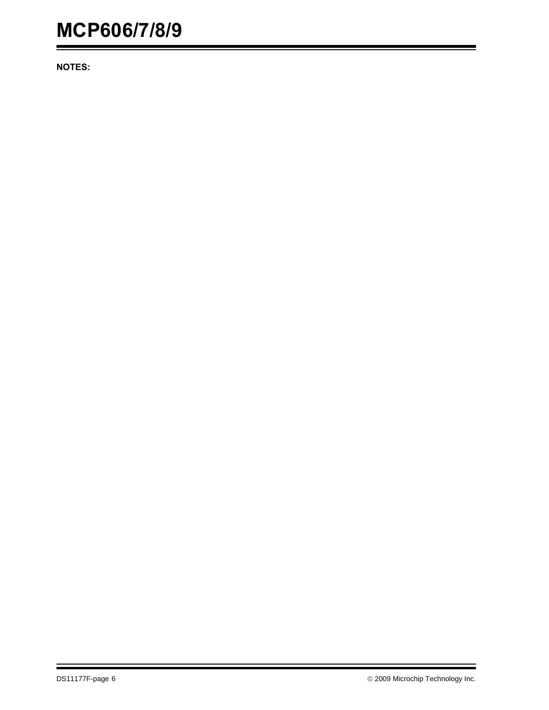**NOTES:**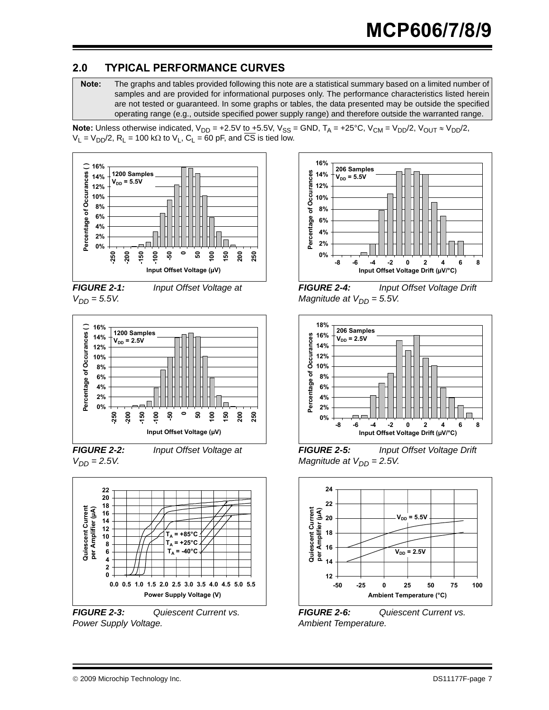#### <span id="page-6-0"></span>**2.0 TYPICAL PERFORMANCE CURVES**

**Note:** The graphs and tables provided following this note are a statistical summary based on a limited number of samples and are provided for informational purposes only. The performance characteristics listed herein are not tested or guaranteed. In some graphs or tables, the data presented may be outside the specified operating range (e.g., outside specified power supply range) and therefore outside the warranted range.



*FIGURE 2-1: Input Offset Voltage at*   $V_{DD} = 5.5V$ .



 $V_{DD} = 2.5V$ .





*FIGURE 2-3: Quiescent Current vs. Power Supply Voltage.*



*FIGURE 2-4: Input Offset Voltage Drift Magnitude at V<sub>DD</sub>* = 5.5V.



*FIGURE 2-5: Input Offset Voltage Drift Magnitude at V<sub>DD</sub>* = 2.5V.



*FIGURE 2-6: Quiescent Current vs. Ambient Temperature.*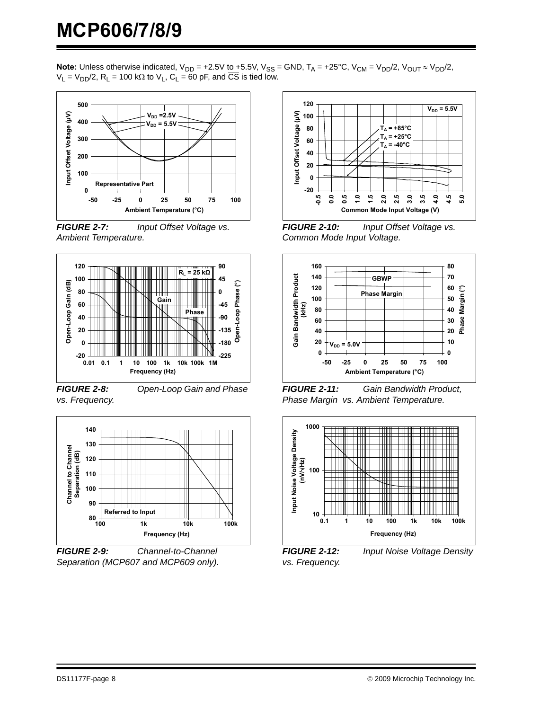**Note:** Unless otherwise indicated,  $V_{DD} = +2.5V$  to  $+5.5V$ ,  $V_{SS} = GND$ ,  $T_A = +25°C$ ,  $V_{CM} = V_{DD}/2$ ,  $V_{OUT} \approx V_{DD}/2$ ,  $V_L = V_{DD}/2$ ,  $R_L = 100 \text{ k}\Omega$  to  $V_L$ ,  $C_L = 60 \text{ pF}$ , and  $\overline{CS}$  is tied low.







*FIGURE 2-8: Open-Loop Gain and Phase vs. Frequency.*



*FIGURE 2-9: Channel-to-Channel Separation (MCP607 and MCP609 only).*



*FIGURE 2-10: Input Offset Voltage vs. Common Mode Input Voltage.*



*FIGURE 2-11: Gain Bandwidth Product, Phase Margin vs. Ambient Temperature.*



*vs. Frequency.*

*FIGURE 2-12: Input Noise Voltage Density*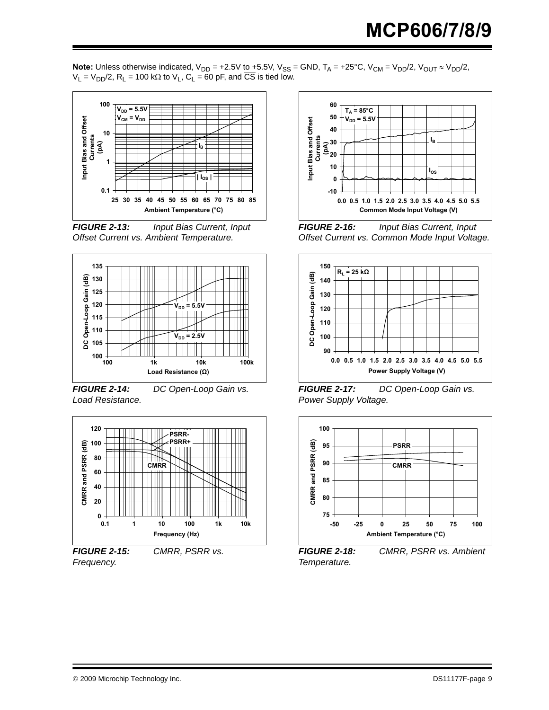





*FIGURE 2-14: DC Open-Loop Gain vs. Load Resistance.*









*FIGURE 2-16: Input Bias Current, Input Offset Current vs. Common Mode Input Voltage.*



*FIGURE 2-17: DC Open-Loop Gain vs. Power Supply Voltage.*



*FIGURE 2-18: CMRR, PSRR vs. Ambient Temperature.*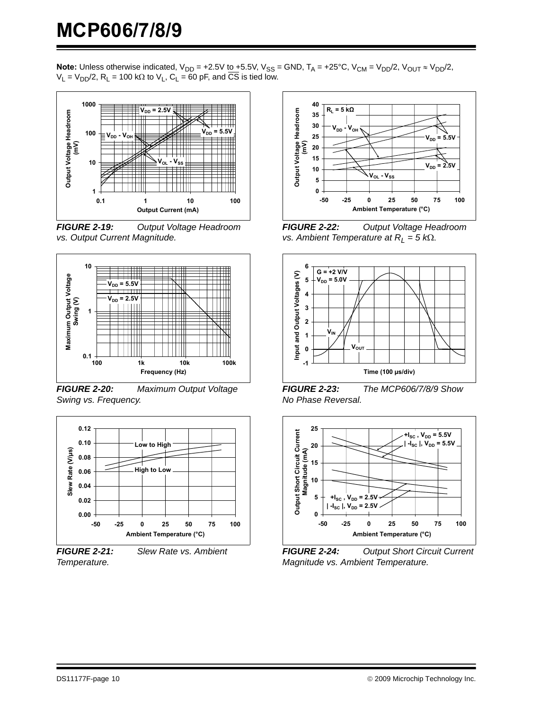

*FIGURE 2-19: Output Voltage Headroom vs. Output Current Magnitude.*



*FIGURE 2-20: Maximum Output Voltage Swing vs. Frequency.*



*FIGURE 2-21: Slew Rate vs. Ambient Temperature.*



<span id="page-9-1"></span>*FIGURE 2-22: Output Voltage Headroom vs. Ambient Temperature at R<sub>L</sub> = 5 kΩ.* 



<span id="page-9-0"></span>*FIGURE 2-23: The MCP606/7/8/9 Show No Phase Reversal.*



*FIGURE 2-24: Output Short Circuit Current Magnitude vs. Ambient Temperature.*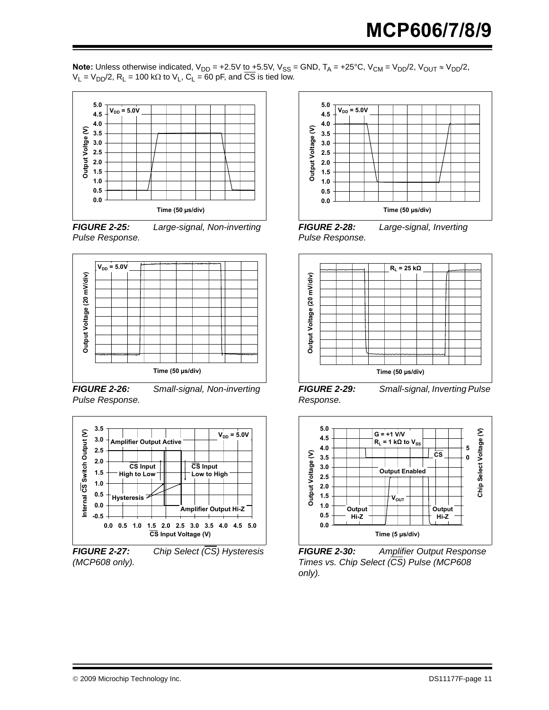

*FIGURE 2-25: Large-signal, Non-inverting Pulse Response.*



*FIGURE 2-26: Small-signal, Non-inverting Pulse Response.*



*(MCP608 only).*

*FIGURE 2-27: Chip Select (CS) Hysteresis* 



*FIGURE 2-28: Large-signal, Inverting Pulse Response.*



*FIGURE 2-29: Small-signal, Inverting Pulse Response.*



*FIGURE 2-30: Amplifier Output Response Times vs. Chip Select (CS) Pulse (MCP608 only).*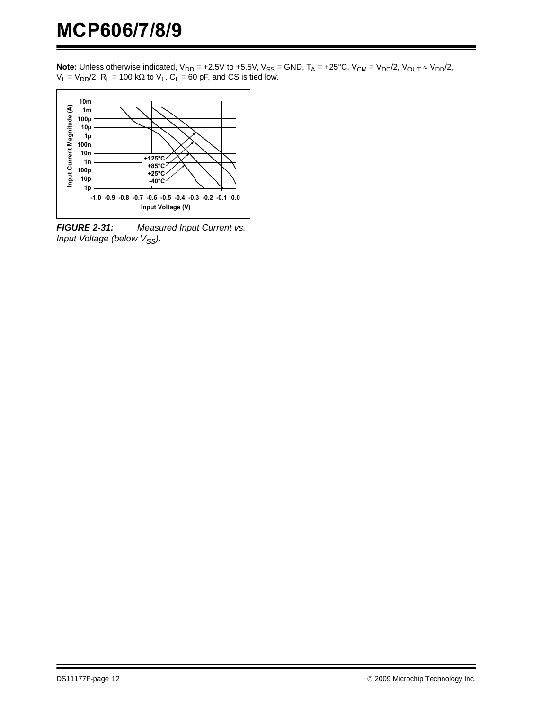**Note:** Unless otherwise indicated, V<sub>DD</sub> = +2.5V t<u>o +</u>5.5V, V<sub>SS</sub> = GND, T<sub>A</sub> = +25°C, V<sub>CM</sub> = V<sub>DD</sub>/2, V<sub>OUT</sub> ≈ V<sub>DD</sub>/2,  $V_L = V_{DD}/2$ , R<sub>L</sub> = 100 kΩ to V<sub>L</sub>, C<sub>L</sub> = 60 pF, and CS is tied low.



<span id="page-11-1"></span><span id="page-11-0"></span>*FIGURE 2-31: Measured Input Current vs. Input Voltage (below V<sub>SS</sub>).*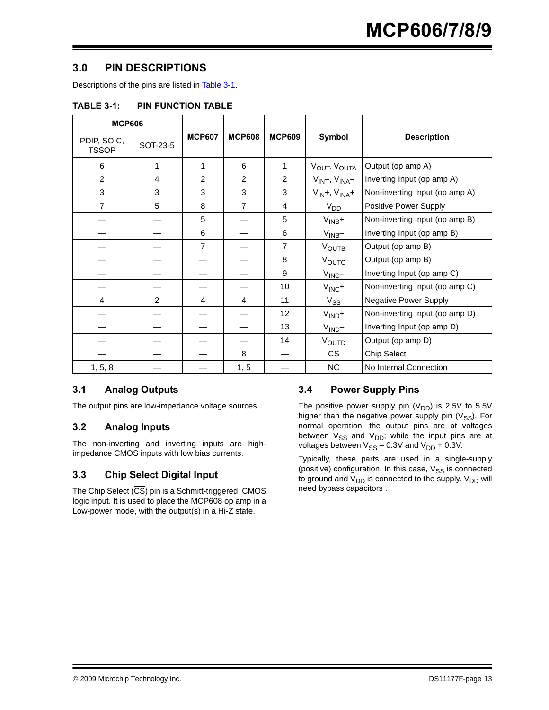#### <span id="page-12-1"></span>**3.0 PIN DESCRIPTIONS**

Descriptions of the pins are listed in [Table 3-1](#page-12-0).

<span id="page-12-2"></span><span id="page-12-0"></span>

| <b>TABLE 3-1:</b> | <b>PIN FUNCTION TABLE</b> |
|-------------------|---------------------------|
|-------------------|---------------------------|

| <b>MCP606</b>               |          |                |                |                   |                        |                                |
|-----------------------------|----------|----------------|----------------|-------------------|------------------------|--------------------------------|
| PDIP, SOIC,<br><b>TSSOP</b> | SOT-23-5 | <b>MCP607</b>  | <b>MCP608</b>  | <b>MCP609</b>     | Symbol                 | <b>Description</b>             |
| 6                           | 1        | 1              | 6              | 1                 | VOUT, VOUTA            | Output (op amp A)              |
| 2                           | 4        | 2              | 2              | $\overline{2}$    | $V_{IN}$ , $V_{INA}$ – | Inverting Input (op amp A)     |
| 3                           | 3        | 3              | 3              | 3                 | $V_{IN}+$ , $V_{INA}+$ | Non-inverting Input (op amp A) |
| $\overline{7}$              | 5        | 8              | $\overline{7}$ | 4                 | V <sub>DD</sub>        | Positive Power Supply          |
|                             |          | 5              |                | 5                 | $V_{INB}$ +            | Non-inverting Input (op amp B) |
|                             |          | 6              |                | 6                 | $V_{INB}$              | Inverting Input (op amp B)     |
|                             |          | $\overline{7}$ |                | $\overline{7}$    | V <sub>OUTB</sub>      | Output (op amp B)              |
|                             |          |                |                | 8                 | VOUTC                  | Output (op amp B)              |
|                             |          |                |                | 9                 | $V_{\text{INC}}$       | Inverting Input (op amp C)     |
|                             |          |                |                | 10                | $V_{INC}+$             | Non-inverting Input (op amp C) |
| $\overline{4}$              | 2        | 4              | 4              | 11                | $V_{SS}$               | <b>Negative Power Supply</b>   |
|                             |          |                |                | $12 \overline{ }$ | $VIND$ +               | Non-inverting Input (op amp D) |
|                             |          |                |                | 13                | V <sub>IND</sub>       | Inverting Input (op amp D)     |
|                             |          |                |                | 14                | VOUTD                  | Output (op amp D)              |
|                             |          |                | 8              |                   | $\overline{\text{cs}}$ | <b>Chip Select</b>             |
| 1, 5, 8                     |          |                | 1, 5           |                   | <b>NC</b>              | No Internal Connection         |

#### **3.1 Analog Outputs**

The output pins are low-impedance voltage sources.

#### **3.2 Analog Inputs**

The non-inverting and inverting inputs are highimpedance CMOS inputs with low bias currents.

#### **3.3 Chip Select Digital Input**

The Chip Select (CS) pin is a Schmitt-triggered, CMOS logic input. It is used to place the MCP608 op amp in a Low-power mode, with the output(s) in a Hi-Z state.

#### **3.4 Power Supply Pins**

The positive power supply pin  $(V_{DD})$  is 2.5V to 5.5V higher than the negative power supply pin  $(V_{SS})$ . For normal operation, the output pins are at voltages between  $V_{SS}$  and  $V_{DD}$ ; while the input pins are at voltages between  $V_{SS}$  – 0.3V and  $V_{DD}$  + 0.3V.

Typically, these parts are used in a single-supply (positive) configuration. In this case,  $V_{SS}$  is connected to ground and  $V_{DD}$  is connected to the supply.  $V_{DD}$  will need bypass capacitors .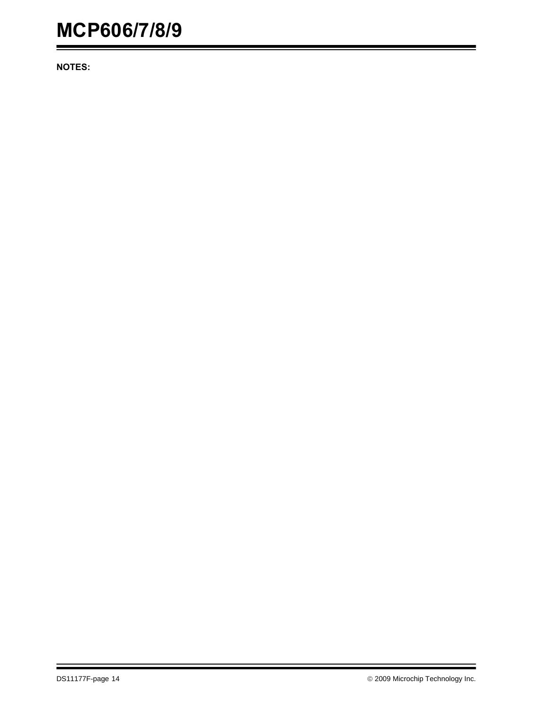**NOTES:**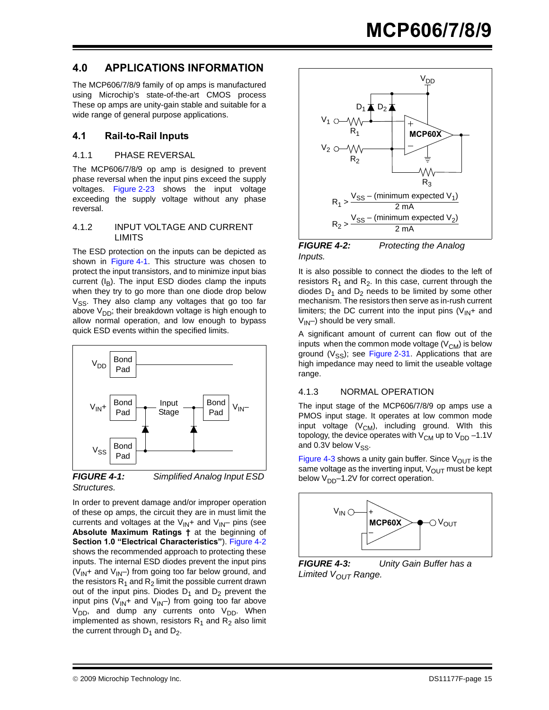#### <span id="page-14-7"></span>**4.0 APPLICATIONS INFORMATION**

The MCP606/7/8/9 family of op amps is manufactured using Microchip's state-of-the-art CMOS process These op amps are unity-gain stable and suitable for a wide range of general purpose applications.

#### **4.1 Rail-to-Rail Inputs**

#### <span id="page-14-4"></span>4.1.1 PHASE REVERSAL

The MCP606/7/8/9 op amp is designed to prevent phase reversal when the input pins exceed the supply voltages. [Figure 2-23](#page-9-0) shows the input voltage exceeding the supply voltage without any phase reversal.

#### <span id="page-14-5"></span><span id="page-14-0"></span>4.1.2 INPUT VOLTAGE AND CURRENT LIMITS

The ESD protection on the inputs can be depicted as shown in [Figure 4-1.](#page-14-1) This structure was chosen to protect the input transistors, and to minimize input bias current  $(I_B)$ . The input ESD diodes clamp the inputs when they try to go more than one diode drop below  $V_{SS}$ . They also clamp any voltages that go too far above  $V_{DD}$ ; their breakdown voltage is high enough to allow normal operation, and low enough to bypass quick ESD events within the specified limits.



*Structures.*

<span id="page-14-1"></span>*FIGURE 4-1: Simplified Analog Input ESD* 

In order to prevent damage and/or improper operation of these op amps, the circuit they are in must limit the currents and voltages at the  $V_{IN}$ + and  $V_{IN}$ – pins (see **[Absolute Maximum Ratings †](#page-2-0)** at the beginning of **[Section 1.0 "Electrical Characteristics"](#page-2-1)**). [Figure 4-2](#page-14-2) shows the recommended approach to protecting these inputs. The internal ESD diodes prevent the input pins  $(V_{IN}+$  and  $V_{IN}$ ) from going too far below ground, and the resistors  $R_1$  and  $R_2$  limit the possible current drawn out of the input pins. Diodes  $D_1$  and  $D_2$  prevent the input pins ( $V_{IN}$ + and  $V_{IN}$ ) from going too far above  $V_{DD}$ , and dump any currents onto  $V_{DD}$ . When implemented as shown, resistors  $R_1$  and  $R_2$  also limit the current through  $D_1$  and  $D_2$ .



<span id="page-14-2"></span>*FIGURE 4-2: Protecting the Analog Inputs.*

It is also possible to connect the diodes to the left of resistors  $R_1$  and  $R_2$ . In this case, current through the diodes  $D_1$  and  $D_2$  needs to be limited by some other mechanism. The resistors then serve as in-rush current limiters; the DC current into the input pins  $(V_{IN}+$  and  $V_{IN}$ ) should be very small.

A significant amount of current can flow out of the inputs when the common mode voltage  $(V_{CM})$  is below ground ( $V_{SS}$ ); see [Figure 2-31.](#page-11-0) Applications that are high impedance may need to limit the useable voltage range.

#### <span id="page-14-6"></span>4.1.3 NORMAL OPERATION

The input stage of the MCP606/7/8/9 op amps use a PMOS input stage. It operates at low common mode input voltage  $(V_{CM})$ , including ground. With this topology, the device operates with  $V_{CM}$  up to  $V_{DD}$  –1.1V and 0.3V below  $V_{SS}$ .

[Figure 4-3](#page-14-3) shows a unity gain buffer. Since  $V_{\text{OUT}}$  is the same voltage as the inverting input,  $V_{\text{OUT}}$  must be kept below  $V_{DD}$ –1.2V for correct operation.



<span id="page-14-3"></span>*FIGURE 4-3: Unity Gain Buffer has a*  Limited V<sub>OUT</sub> Range.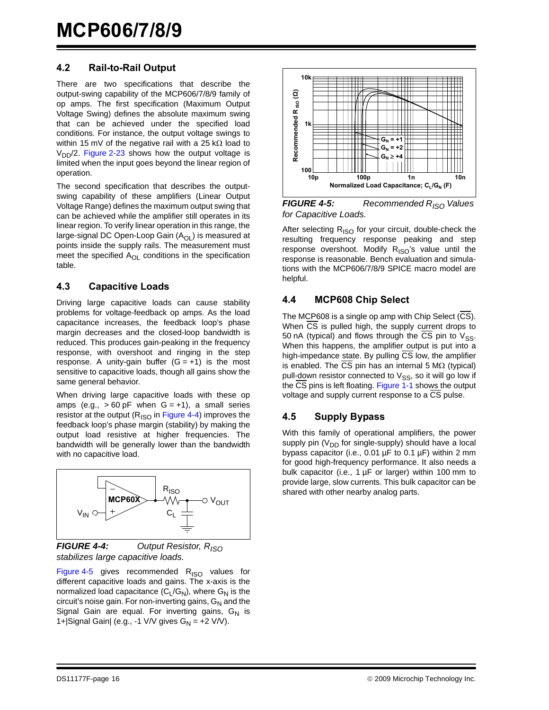#### **4.2 Rail-to-Rail Output**

There are two specifications that describe the output-swing capability of the MCP606/7/8/9 family of op amps. The first specification (Maximum Output Voltage Swing) defines the absolute maximum swing that can be achieved under the specified load conditions. For instance, the output voltage swings to within 15 mV of the negative rail with a 25 kΩ load to  $V<sub>DD</sub>/2$ . [Figure 2-23](#page-9-0) shows how the output voltage is limited when the input goes beyond the linear region of operation.

The second specification that describes the outputswing capability of these amplifiers (Linear Output Voltage Range) defines the maximum output swing that can be achieved while the amplifier still operates in its linear region. To verify linear operation in this range, the large-signal DC Open-Loop Gain  $(A<sub>OL</sub>)$  is measured at points inside the supply rails. The measurement must meet the specified  $A_{OL}$  conditions in the specification table.

#### <span id="page-15-3"></span>**4.3 Capacitive Loads**

Driving large capacitive loads can cause stability problems for voltage-feedback op amps. As the load capacitance increases, the feedback loop's phase margin decreases and the closed-loop bandwidth is reduced. This produces gain-peaking in the frequency response, with overshoot and ringing in the step response. A unity-gain buffer  $(G = +1)$  is the most sensitive to capacitive loads, though all gains show the same general behavior.

When driving large capacitive loads with these op amps (e.g.,  $> 60$  pF when  $G = +1$ ), a small series resistor at the output  $(R<sub>ISO</sub>$  in [Figure 4-4](#page-15-1)) improves the feedback loop's phase margin (stability) by making the output load resistive at higher frequencies. The bandwidth will be generally lower than the bandwidth with no capacitive load.



<span id="page-15-1"></span>*FIGURE 4-4: Output Resistor, RISO stabilizes large capacitive loads.*

[Figure 4-5](#page-15-2) gives recommended  $R_{ISO}$  values for different capacitive loads and gains. The x-axis is the normalized load capacitance  $(C_L/G_N)$ , where  $G_N$  is the circuit's noise gain. For non-inverting gains,  $G_N$  and the Signal Gain are equal. For inverting gains,  $G_N$  is 1+|Signal Gain| (e.g., -1 V/V gives  $G_N = +2$  V/V).



<span id="page-15-2"></span>*FIGURE 4-5:* Recommended R<sub>ISO</sub> Values *for Capacitive Loads.*

After selecting  $R_{ISO}$  for your circuit, double-check the resulting frequency response peaking and step response overshoot. Modify  $R_{ISO}$ 's value until the response is reasonable. Bench evaluation and simulations with the MCP606/7/8/9 SPICE macro model are helpful.

#### **4.4 MCP608 Chip Select**

The MCP608 is a single op amp with Chip Select (CS). When CS is pulled high, the supply current drops to 50 nA (typical) and flows through the CS pin to  $V_{SS}$ . When this happens, the amplifier output is put into a high-impedance state. By pulling  $\overline{CS}$  low, the amplifier is enabled. The CS pin has an internal 5 MΩ (typical) pull-down resistor connected to  $V_{SS}$ , so it will go low if the CS pins is left floating. [Figure 1-1](#page-3-0) shows the output voltage and supply current response to a CS pulse.

#### <span id="page-15-0"></span>**4.5 Supply Bypass**

With this family of operational amplifiers, the power supply pin  $(V_{DD}$  for single-supply) should have a local bypass capacitor (i.e.,  $0.01 \mu F$  to  $0.1 \mu F$ ) within 2 mm for good high-frequency performance. It also needs a bulk capacitor (i.e.,  $1 \mu$ F or larger) within 100 mm to provide large, slow currents. This bulk capacitor can be shared with other nearby analog parts.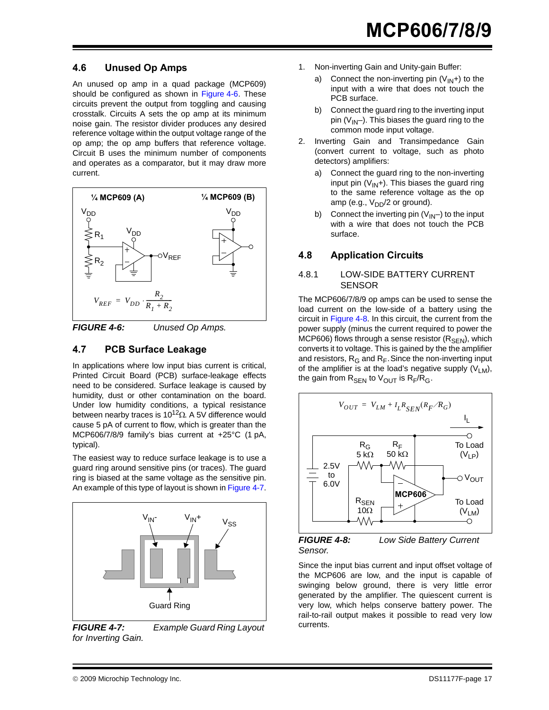#### **4.6 Unused Op Amps**

An unused op amp in a quad package (MCP609) should be configured as shown in [Figure 4-6.](#page-16-0) These circuits prevent the output from toggling and causing crosstalk. Circuits A sets the op amp at its minimum noise gain. The resistor divider produces any desired reference voltage within the output voltage range of the op amp; the op amp buffers that reference voltage. Circuit B uses the minimum number of components and operates as a comparator, but it may draw more current.



<span id="page-16-0"></span>*FIGURE 4-6: Unused Op Amps.*

#### **4.7 PCB Surface Leakage**

In applications where low input bias current is critical, Printed Circuit Board (PCB) surface-leakage effects need to be considered. Surface leakage is caused by humidity, dust or other contamination on the board. Under low humidity conditions, a typical resistance between nearby traces is 10<sup>12</sup>Ω. A 5V difference would cause 5 pA of current to flow, which is greater than the MCP606/7/8/9 family's bias current at +25°C (1 pA, typical).

The easiest way to reduce surface leakage is to use a guard ring around sensitive pins (or traces). The guard ring is biased at the same voltage as the sensitive pin. An example of this type of layout is shown in [Figure 4-7.](#page-16-1)



<span id="page-16-1"></span>*FIGURE 4-7: Example Guard Ring Layout for Inverting Gain.*

- 1. Non-inverting Gain and Unity-gain Buffer:
	- a) Connect the non-inverting pin  $(V_{IN}+)$  to the input with a wire that does not touch the PCB surface.
	- b) Connect the guard ring to the inverting input pin  $(V_{1N}-)$ . This biases the guard ring to the common mode input voltage.
- 2. Inverting Gain and Transimpedance Gain (convert current to voltage, such as photo detectors) amplifiers:
	- a) Connect the guard ring to the non-inverting input pin  $(V_{IN}+)$ . This biases the guard ring to the same reference voltage as the op amp (e.g.,  $V_{DD}/2$  or ground).
	- b) Connect the inverting pin  $(V_{IN}$ -) to the input with a wire that does not touch the PCB surface.

#### **4.8 Application Circuits**

#### 4.8.1 LOW-SIDE BATTERY CURRENT SENSOR

The MCP606/7/8/9 op amps can be used to sense the load current on the low-side of a battery using the circuit in [Figure 4-8.](#page-16-2) In this circuit, the current from the power supply (minus the current required to power the MCP606) flows through a sense resistor  $(R_{\text{SEN}})$ , which converts it to voltage. This is gained by the the amplifier and resistors,  $R_G$  and  $R_F$ . Since the non-inverting input of the amplifier is at the load's negative supply  $(V_{LM})$ , the gain from  $R_{\text{SEN}}$  to  $V_{\text{OUT}}$  is  $R_{\text{F}}/R_{\text{G}}$ .



<span id="page-16-2"></span>*Sensor.* Since the input bias current and input offset voltage of the MCP606 are low, and the input is capable of

swinging below ground, there is very little error generated by the amplifier. The quiescent current is very low, which helps conserve battery power. The rail-to-rail output makes it possible to read very low currents.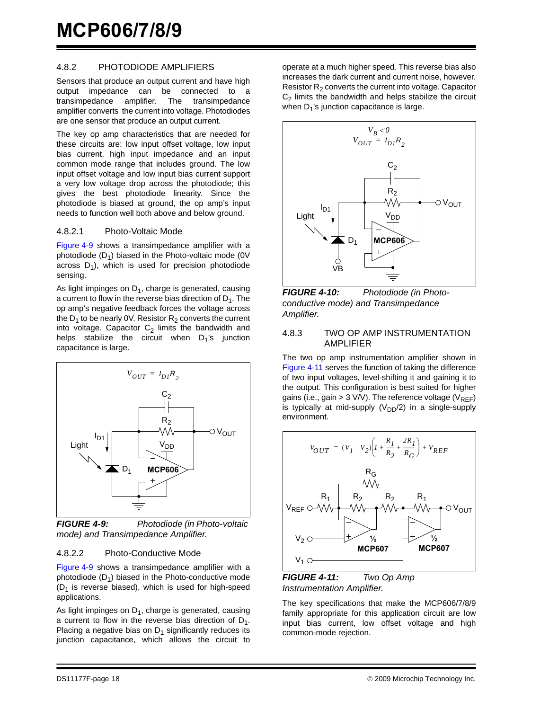#### 4.8.2 PHOTODIODE AMPLIFIERS

Sensors that produce an output current and have high output impedance can be connected to a transimpedance amplifier. The transimpedance amplifier converts the current into voltage. Photodiodes are one sensor that produce an output current.

The key op amp characteristics that are needed for these circuits are: low input offset voltage, low input bias current, high input impedance and an input common mode range that includes ground. The low input offset voltage and low input bias current support a very low voltage drop across the photodiode; this gives the best photodiode linearity. Since the photodiode is biased at ground, the op amp's input needs to function well both above and below ground.

#### 4.8.2.1 Photo-Voltaic Mode

[Figure 4-9](#page-17-0) shows a transimpedance amplifier with a photodiode  $(D_1)$  biased in the Photo-voltaic mode (0V across  $D_1$ ), which is used for precision photodiode sensing.

As light impinges on  $D_1$ , charge is generated, causing a current to flow in the reverse bias direction of  $D_1$ . The op amp's negative feedback forces the voltage across the  $D_1$  to be nearly 0V. Resistor  $R_2$  converts the current into voltage. Capacitor  $C_2$  limits the bandwidth and helps stabilize the circuit when  $D_1$ 's junction capacitance is large.



<span id="page-17-0"></span>*FIGURE 4-9: Photodiode (in Photo-voltaic mode) and Transimpedance Amplifier.*

#### 4.8.2.2 Photo-Conductive Mode

[Figure 4-9](#page-17-0) shows a transimpedance amplifier with a photodiode  $(D_1)$  biased in the Photo-conductive mode  $(D_1$  is reverse biased), which is used for high-speed applications.

As light impinges on  $D_1$ , charge is generated, causing a current to flow in the reverse bias direction of  $D_1$ . Placing a negative bias on  $D_1$  significantly reduces its junction capacitance, which allows the circuit to operate at a much higher speed. This reverse bias also increases the dark current and current noise, however. Resistor  $R<sub>2</sub>$  converts the current into voltage. Capacitor  $C_2$  limits the bandwidth and helps stabilize the circuit when  $D_1$ 's junction capacitance is large.



*FIGURE 4-10: Photodiode (in Photoconductive mode) and Transimpedance Amplifier.*

#### 4.8.3 TWO OP AMP INSTRUMENTATION AMPLIFIER

The two op amp instrumentation amplifier shown in [Figure 4-11](#page-17-1) serves the function of taking the difference of two input voltages, level-shifting it and gaining it to the output. This configuration is best suited for higher gains (i.e., gain > 3 V/V). The reference voltage ( $V_{REF}$ ) is typically at mid-supply  $(V_{DD}/2)$  in a single-supply environment.



#### <span id="page-17-1"></span>*FIGURE 4-11: Two Op Amp Instrumentation Amplifier.*

The key specifications that make the MCP606/7/8/9 family appropriate for this application circuit are low input bias current, low offset voltage and high common-mode rejection.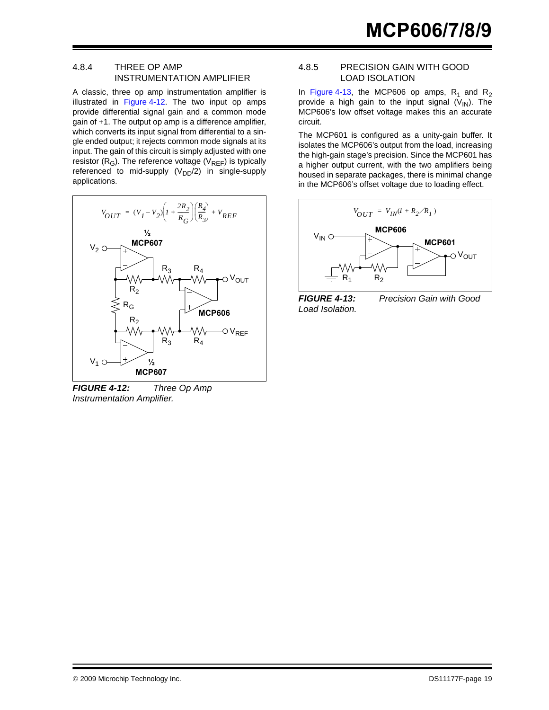#### 4.8.4 THREE OP AMP INSTRUMENTATION AMPLIFIER

A classic, three op amp instrumentation amplifier is illustrated in [Figure 4-12](#page-18-0). The two input op amps provide differential signal gain and a common mode gain of +1. The output op amp is a difference amplifier, which converts its input signal from differential to a single ended output; it rejects common mode signals at its input. The gain of this circuit is simply adjusted with one resistor ( $R_G$ ). The reference voltage ( $V_{REF}$ ) is typically referenced to mid-supply  $(V_{DD}/2)$  in single-supply applications.



<span id="page-18-0"></span>*FIGURE 4-12: Three Op Amp Instrumentation Amplifier.*

#### 4.8.5 PRECISION GAIN WITH GOOD LOAD ISOLATION

In [Figure 4-13,](#page-18-1) the MCP606 op amps,  $R_1$  and  $R_2$ provide a high gain to the input signal  $(V_{\text{IN}})$ . The MCP606's low offset voltage makes this an accurate circuit.

The MCP601 is configured as a unity-gain buffer. It isolates the MCP606's output from the load, increasing the high-gain stage's precision. Since the MCP601 has a higher output current, with the two amplifiers being housed in separate packages, there is minimal change in the MCP606's offset voltage due to loading effect.

<span id="page-18-1"></span>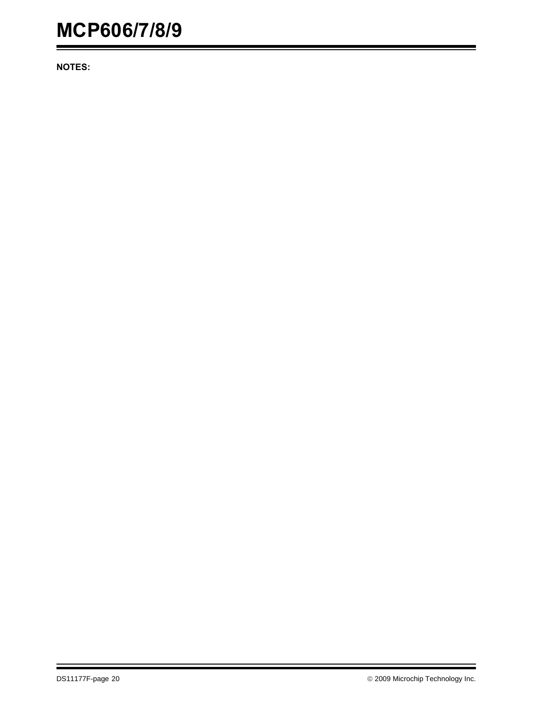**NOTES:**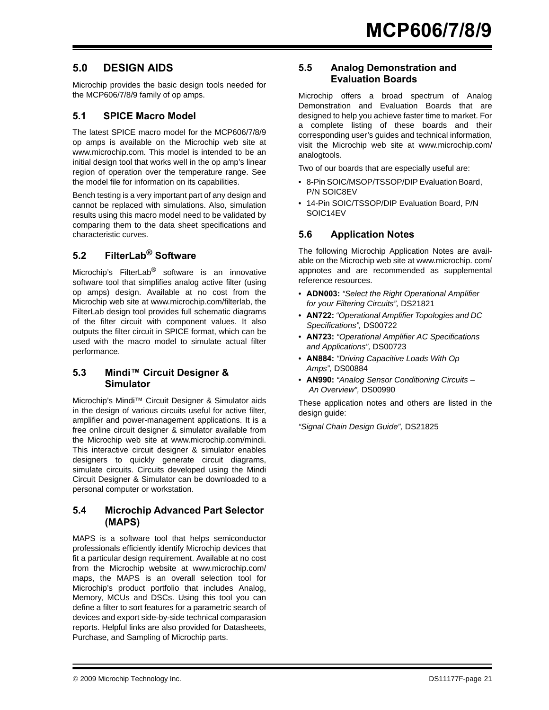#### <span id="page-20-0"></span>**5.0 DESIGN AIDS**

Microchip provides the basic design tools needed for the MCP606/7/8/9 family of op amps.

#### **5.1 SPICE Macro Model**

The latest SPICE macro model for the MCP606/7/8/9 op amps is available on the Microchip web site at www.microchip.com. This model is intended to be an initial design tool that works well in the op amp's linear [region of operation over the temperature range. See](www.microchip.com) the model file for information on its capabilities.

Bench testing is a very important part of any design and cannot be replaced with simulations. Also, simulation results using this macro model need to be validated by comparing them to the data sheet specifications and characteristic curves.

#### **5.2 FilterLab® Software**

Microchip's FilterLab<sup>®</sup> software is an innovative software tool that simplifies analog active filter (using op amps) design. Available at no cost from the Microchip web site at www.microchip.com/filterlab, the FilterLab design tool provides full schematic diagrams [of the filter circuit with component values. It also](www.microchip.com/filterlab) outputs the filter circuit in SPICE format, which can be used with the macro model to simulate actual filter performance.

#### **5.3 Mindi™ Circuit Designer & Simulator**

Microchip's Mindi™ Circuit Designer & Simulator aids in the design of various circuits useful for active filter, amplifier and power-management applications. It is a free online circuit designer & simulator available from the Microchip web site at www.microchip.com/mindi. This interactive circuit designer & simulator enables [designers to quickly generate circuit diagrams,](www.microchip.com/mindi) simulate circuits. Circuits developed using the Mindi Circuit Designer & Simulator can be downloaded to a personal computer or workstation.

#### **5.4 Microchip Advanced Part Selector (MAPS)**

MAPS is a software tool that helps semiconductor professionals efficiently identify Microchip devices that fit a particular design requirement. Available at no cost from the Microchip website at www.microchip.com/ [maps, the MAPS is an overall selection tool for](www.microchip.com/ maps) Microchip's product portfolio that includes Analog, Memory, MCUs and DSCs. Using this tool you can define a filter to sort features for a parametric search of devices and export side-by-side technical comparasion reports. Helpful links are also provided for Datasheets, Purchase, and Sampling of Microchip parts.

#### **5.5 Analog Demonstration and Evaluation Boards**

Microchip offers a broad spectrum of Analog Demonstration and Evaluation Boards that are designed to help you achieve faster time to market. For a complete listing of these boards and their corresponding user's guides and technical information, [visit the Microchip web site at www.microchip.com/](www.microchip.com/analogtools) analogtools.

Two of our boards that are especially useful are:

- 8-Pin SOIC/MSOP/TSSOP/DIP Evaluation Board, P/N SOIC8EV
- 14-Pin SOIC/TSSOP/DIP Evaluation Board, P/N SOIC14EV

#### **5.6 Application Notes**

The following Microchip Application Notes are available on the Microchip web site at www.microchip. com/ [appnotes and are recommended as supplemental](www.microchip. com/appnotes) reference resources.

- **ADN003:** *"Select the Right Operational Amplifier for your Filtering Circuits",* DS21821
- **AN722:** *"Operational Amplifier Topologies and DC Specifications",* DS00722
- **AN723:** *"Operational Amplifier AC Specifications and Applications",* DS00723
- **AN884:** *"Driving Capacitive Loads With Op Amps",* DS00884
- **AN990:** *"Analog Sensor Conditioning Circuits – An Overview",* DS00990

These application notes and others are listed in the design guide:

*"Signal Chain Design Guide",* DS21825

<sup>©</sup> 2009 Microchip Technology Inc. DS11177F-page 21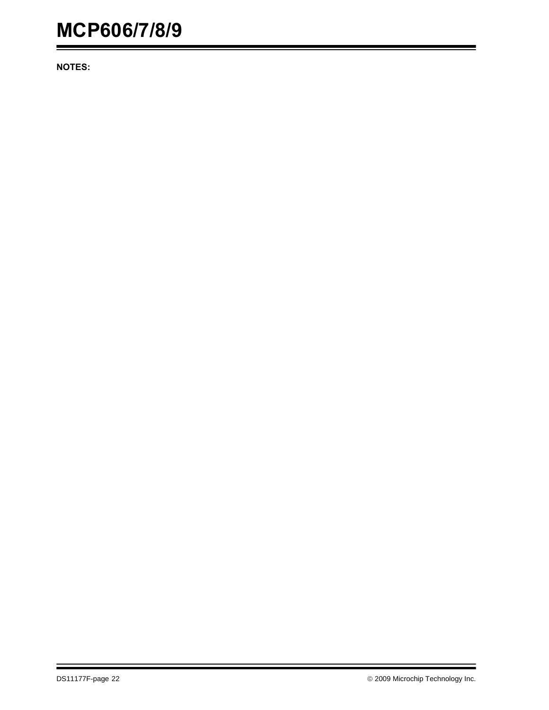**NOTES:**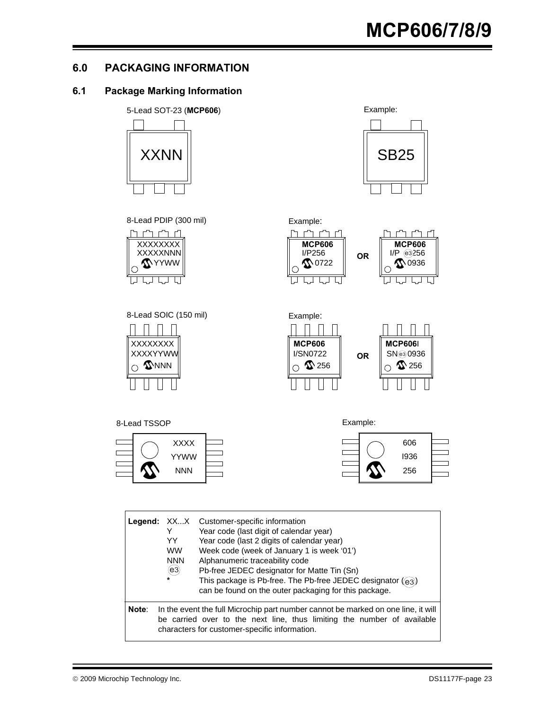#### <span id="page-22-0"></span>**6.0 PACKAGING INFORMATION**

#### **6.1 Package Marking Information**



8-Lead PDIP (300 mil) Example:





8-Lead SOIC (150 mil) Example: **MCP606** I/SN0722  $\mathbf{\Omega}$  256  $\bigcap$ 

**MCP606** I/P256  $\mathbf{\Omega}$ 0722

tu tu ti

<u>n m m n</u>



**MCP606**

ר"ז ר ГI

**1** 0936

T

**OR** |  $^{1/P}$  @3256

8-Lead TSSOP **Example:** 



606 I936 256

|       | YY.<br><b>WW</b><br><b>NNN</b><br>$\widehat{\mathsf{e}\hspace{0.5pt}\mathsf{e}\hspace{0.5pt}}$<br>$\star$ | <b>Legend:</b> XXX Customer-specific information<br>Year code (last digit of calendar year)<br>Year code (last 2 digits of calendar year)<br>Week code (week of January 1 is week '01')<br>Alphanumeric traceability code<br>Pb-free JEDEC designator for Matte Tin (Sn)<br>This package is Pb-free. The Pb-free JEDEC designator ((e3))<br>can be found on the outer packaging for this package. |
|-------|-----------------------------------------------------------------------------------------------------------|---------------------------------------------------------------------------------------------------------------------------------------------------------------------------------------------------------------------------------------------------------------------------------------------------------------------------------------------------------------------------------------------------|
| Note: |                                                                                                           | In the event the full Microchip part number cannot be marked on one line, it will<br>be carried over to the next line, thus limiting the number of available<br>characters for customer-specific information.                                                                                                                                                                                     |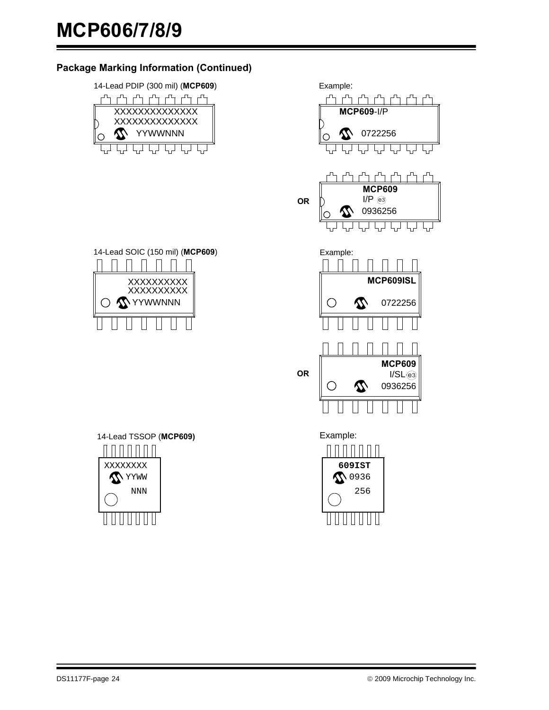#### **Package Marking Information (Continued)**





UU L

 $\mathop{\rm Hilb}\nolimits$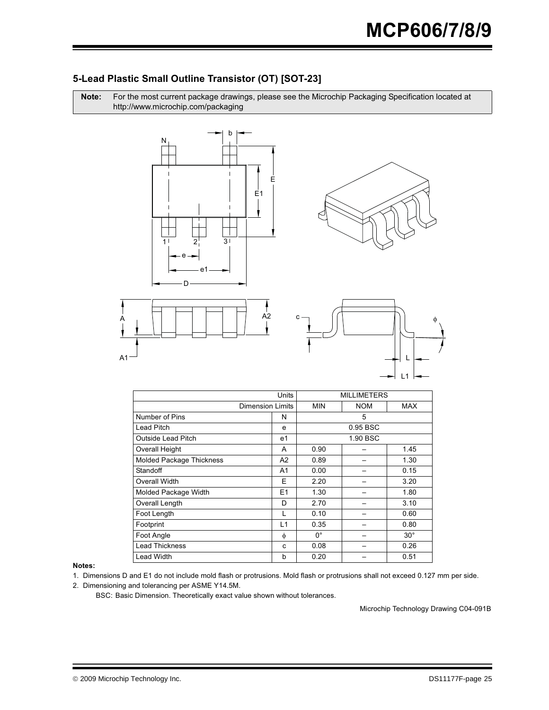#### 5-Lead Plastic Small Outline Transistor (OT) [SOT-23]

Note: For the most current package drawings, please see the Microchip Packaging Specification located at http://www.microchip.com/packaging





|                                 | <b>Units</b>     |             |            | <b>MILLIMETERS</b> |  |  |  |
|---------------------------------|------------------|-------------|------------|--------------------|--|--|--|
|                                 | Dimension Limits |             | <b>NOM</b> | <b>MAX</b>         |  |  |  |
| Number of Pins                  | N                |             | 5          |                    |  |  |  |
| Lead Pitch                      | e                |             | 0.95 BSC   |                    |  |  |  |
| <b>Outside Lead Pitch</b>       | e <sub>1</sub>   | 1.90 BSC    |            |                    |  |  |  |
| Overall Height                  | A                | 0.90        |            | 1.45               |  |  |  |
| <b>Molded Package Thickness</b> | A <sub>2</sub>   | 0.89        |            | 1.30               |  |  |  |
| Standoff                        | A <sub>1</sub>   | 0.00        |            | 0.15               |  |  |  |
| Overall Width                   | E                | 2.20        |            | 3.20               |  |  |  |
| Molded Package Width            | E <sub>1</sub>   | 1.30        |            | 1.80               |  |  |  |
| Overall Length                  | D                | 2.70        |            | 3.10               |  |  |  |
| Foot Length                     |                  | 0.10        |            | 0.60               |  |  |  |
| Footprint                       | L1               | 0.35        |            | 0.80               |  |  |  |
| Foot Angle                      | φ                | $0^{\circ}$ |            | $30^\circ$         |  |  |  |
| <b>Lead Thickness</b>           | C                | 0.08        |            | 0.26               |  |  |  |
| <b>Lead Width</b>               | b                | 0.20        |            | 0.51               |  |  |  |

#### Notes:

- 1. Dimensions D and E1 do not include mold flash or protrusions. Mold flash or protrusions shall not exceed 0.127 mm per side.
- 2. Dimensioning and tolerancing per ASME Y14.5M.

BSC: Basic Dimension. Theoretically exact value shown without tolerances.

Microchip Technology Drawing C04-091B

А

 $A<sub>1</sub>$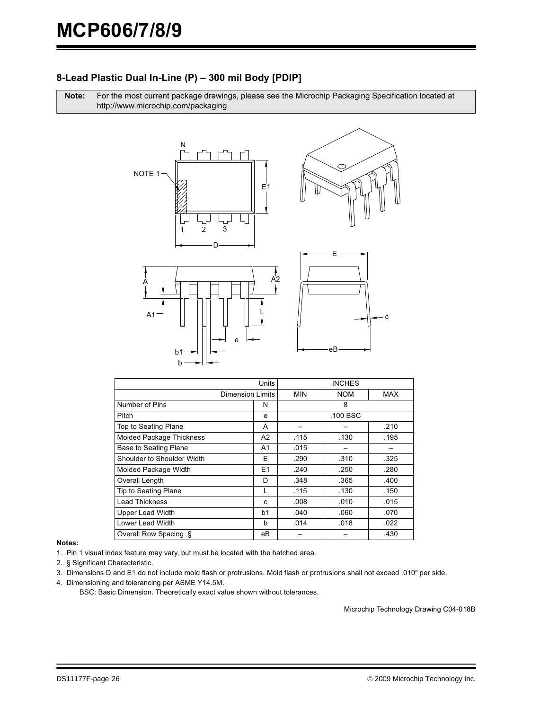#### 8-Lead Plastic Dual In-Line (P) - 300 mil Body [PDIP]

Note: For the most current package drawings, please see the Microchip Packaging Specification located at http://www.microchip.com/packaging



|                                 | Units                   |            | <b>INCHES</b> |      |
|---------------------------------|-------------------------|------------|---------------|------|
|                                 | <b>Dimension Limits</b> | <b>MIN</b> | <b>NOM</b>    | MAX  |
| Number of Pins                  | N                       |            | 8             |      |
| Pitch                           | e                       |            | .100 BSC      |      |
| Top to Seating Plane            | A                       |            |               | .210 |
| <b>Molded Package Thickness</b> | A <sub>2</sub>          | .115       | .130          | .195 |
| <b>Base to Seating Plane</b>    | A <sub>1</sub>          | .015       |               |      |
| Shoulder to Shoulder Width      | Ε                       | .290       | .310          | .325 |
| Molded Package Width            | E1                      | .240       | .250          | .280 |
| Overall Length                  | D                       | .348       | .365          | .400 |
| Tip to Seating Plane            | L                       | .115       | .130          | .150 |
| <b>Lead Thickness</b>           | C                       | .008       | .010          | .015 |
| Upper Lead Width                | b1                      | .040       | .060          | .070 |
| Lower Lead Width                | b                       | .014       | .018          | .022 |
| Overall Row Spacing §           | eВ                      |            |               | .430 |

#### Notes:

1. Pin 1 visual index feature may vary, but must be located with the hatched area.

2. § Significant Characteristic.

3. Dimensions D and E1 do not include mold flash or protrusions. Mold flash or protrusions shall not exceed .010" per side.

4. Dimensioning and tolerancing per ASME Y14.5M.

BSC: Basic Dimension. Theoretically exact value shown without tolerances.

Microchip Technology Drawing C04-018B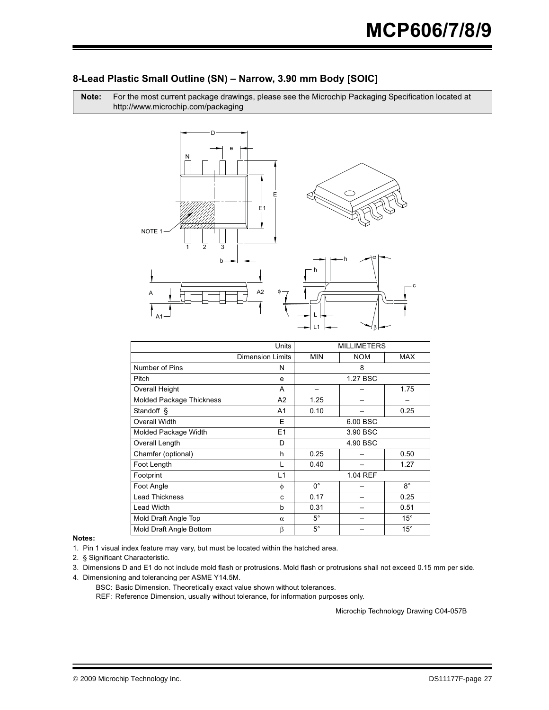#### 8-Lead Plastic Small Outline (SN) - Narrow, 3.90 mm Body [SOIC]

Note: For the most current package drawings, please see the Microchip Packaging Specification located at http://www.microchip.com/packaging



|                                 | Units                   | <b>MILLIMETERS</b> |          |              |  |
|---------------------------------|-------------------------|--------------------|----------|--------------|--|
|                                 | <b>Dimension Limits</b> |                    |          | <b>MAX</b>   |  |
| Number of Pins                  | N                       |                    | 8        |              |  |
| Pitch                           | e                       |                    | 1.27 BSC |              |  |
| Overall Height                  | A                       |                    |          | 1.75         |  |
| <b>Molded Package Thickness</b> | A <sub>2</sub>          | 1.25               |          |              |  |
| Standoff §                      | A <sub>1</sub>          | 0.10               |          | 0.25         |  |
| Overall Width                   | Ε                       | 6.00 BSC           |          |              |  |
| Molded Package Width            | E1                      | 3.90 BSC           |          |              |  |
| Overall Length                  | D                       | 4.90 BSC           |          |              |  |
| Chamfer (optional)              | h                       | 0.25               |          | 0.50         |  |
| Foot Length                     | L                       | 0.40               |          | 1.27         |  |
| Footprint                       | L1                      |                    | 1.04 REF |              |  |
| Foot Angle                      | $\phi$                  | $0^{\circ}$        |          | $8^{\circ}$  |  |
| <b>Lead Thickness</b>           | C                       | 0.17               |          | 0.25         |  |
| <b>Lead Width</b>               | b                       | 0.31               |          | 0.51         |  |
| Mold Draft Angle Top            | $\alpha$                | $5^{\circ}$        |          | $15^{\circ}$ |  |
| Mold Draft Angle Bottom         | β                       | $5^{\circ}$        |          | $15^{\circ}$ |  |

#### Notes:

1. Pin 1 visual index feature may vary, but must be located within the hatched area.

2. § Significant Characteristic.

3. Dimensions D and E1 do not include mold flash or protrusions. Mold flash or protrusions shall not exceed 0.15 mm per side.

- 4. Dimensioning and tolerancing per ASME Y14.5M.
	- BSC: Basic Dimension. Theoretically exact value shown without tolerances.

REF: Reference Dimension, usually without tolerance, for information purposes only.

Microchip Technology Drawing C04-057B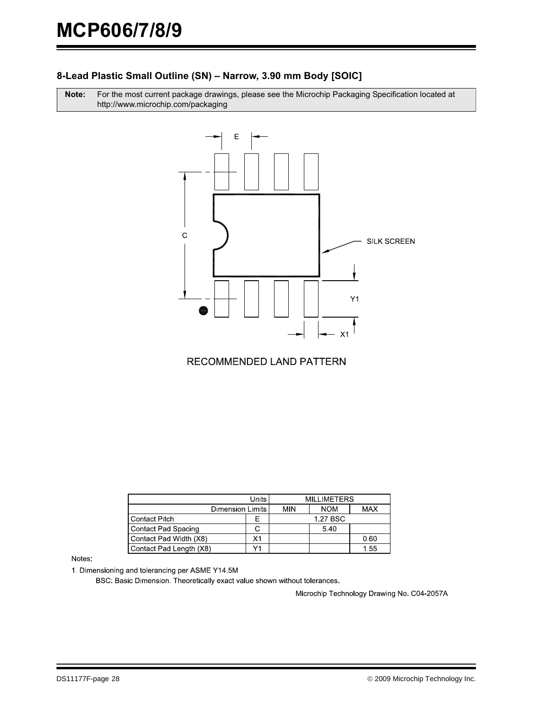#### 8-Lead Plastic Small Outline (SN) - Narrow, 3.90 mm Body [SOIC]

Note: For the most current package drawings, please see the Microchip Packaging Specification located at http://www.microchip.com/packaging



#### **RECOMMENDED LAND PATTERN**

|                         | <b>MILLIMETERS</b> |            |          |      |
|-------------------------|--------------------|------------|----------|------|
| Dimension Limits        | MIN                | <b>NOM</b> | MAX      |      |
| <b>Contact Pitch</b>    | ⊢                  |            | 1.27 BSC |      |
| Contact Pad Spacing     |                    |            | 5.40     |      |
| Contact Pad Width (X8)  | Χ1                 |            |          | 0.60 |
| Contact Pad Length (X8) |                    |            |          | 1.55 |

Notes:

1. Dimensioning and tolerancing per ASME Y14.5M

BSC: Basic Dimension. Theoretically exact value shown without tolerances.

Microchip Technology Drawing No. C04-2057A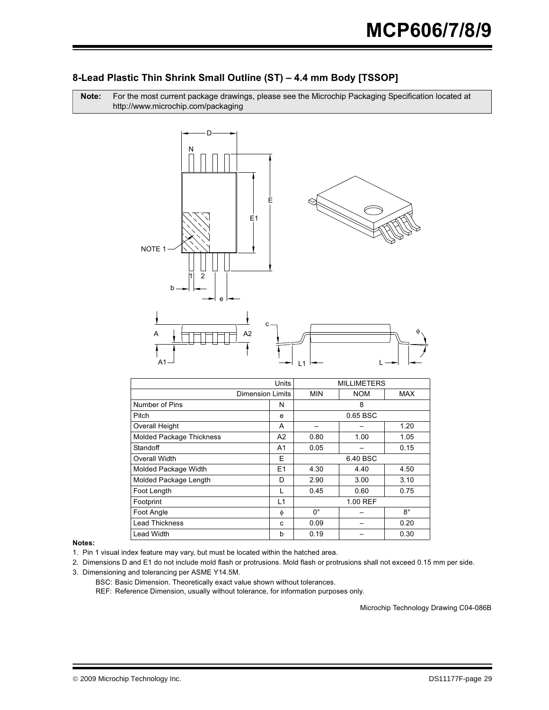#### 8-Lead Plastic Thin Shrink Small Outline (ST) - 4.4 mm Body [TSSOP]

Note: For the most current package drawings, please see the Microchip Packaging Specification located at http://www.microchip.com/packaging



|                          | Units | <b>MILLIMETERS</b> |            |             |  |
|--------------------------|-------|--------------------|------------|-------------|--|
| Dimension Limits         |       | <b>MIN</b>         | <b>NOM</b> | MAX         |  |
| Number of Pins           | N     |                    | 8          |             |  |
| Pitch                    | e     |                    | 0.65 BSC   |             |  |
| Overall Height           | A     |                    |            | 1.20        |  |
| Molded Package Thickness | A2    | 0.80               | 1.00       | 1.05        |  |
| Standoff                 | A1    | 0.05               |            | 0.15        |  |
| Overall Width            | Е     |                    | 6.40 BSC   |             |  |
| Molded Package Width     | E1    | 4.30               | 4.40       | 4.50        |  |
| Molded Package Length    | D     | 2.90               | 3.00       | 3.10        |  |
| Foot Length              | L     | 0.45               | 0.60       | 0.75        |  |
| Footprint                | L1    |                    | 1.00 REF   |             |  |
| Foot Angle               | φ     | $0^{\circ}$        |            | $8^{\circ}$ |  |
| <b>Lead Thickness</b>    | C     | 0.09               |            | 0.20        |  |
| <b>Lead Width</b>        | b     | 0.19               |            | 0.30        |  |

#### Notes:

1. Pin 1 visual index feature may vary, but must be located within the hatched area.

2. Dimensions D and E1 do not include mold flash or protrusions. Mold flash or protrusions shall not exceed 0.15 mm per side.

- 3. Dimensioning and tolerancing per ASME Y14.5M.
	- BSC: Basic Dimension. Theoretically exact value shown without tolerances.
	- REF: Reference Dimension, usually without tolerance, for information purposes only.

Microchip Technology Drawing C04-086B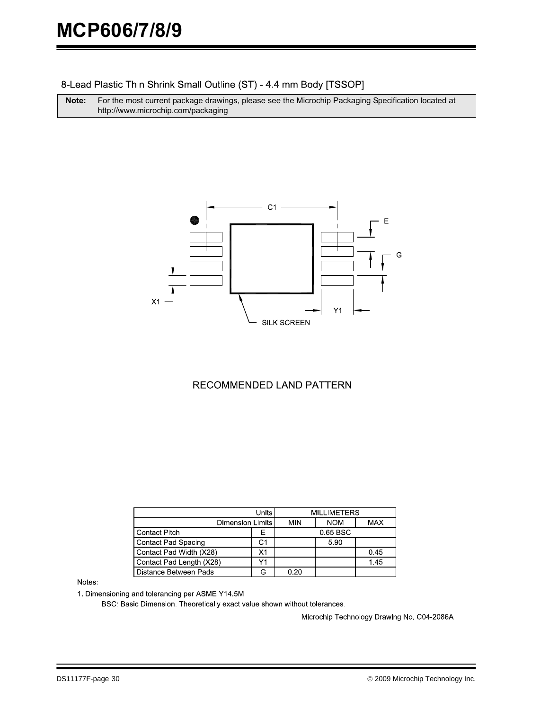8-Lead Plastic Thin Shrink Small Outline (ST) - 4.4 mm Body [TSSOP]

**Note:** For the most current package drawings, please see the Microchip Packaging Specification located at http://www.microchip.com/packaging



#### RECOMMENDED LAND PATTERN

|                            | Units | <b>MILLIMETERS</b> |            |            |
|----------------------------|-------|--------------------|------------|------------|
| Dimension Limits           |       | MIN                | <b>NOM</b> | <b>MAX</b> |
| <b>Contact Pitch</b>       | ⊢     |                    | 0.65 BSC   |            |
| <b>Contact Pad Spacing</b> | C1    |                    | 5.90       |            |
| Contact Pad Width (X28)    | Χ1    |                    |            | 0.45       |
| Contact Pad Length (X28)   | V1    |                    |            | 145        |
| Distance Between Pads      |       | 0.20               |            |            |

Notes:

1. Dimensioning and tolerancing per ASME Y14.5M

BSC: Basic Dimension. Theoretically exact value shown without tolerances.

Microchip Technology Drawing No. C04-2086A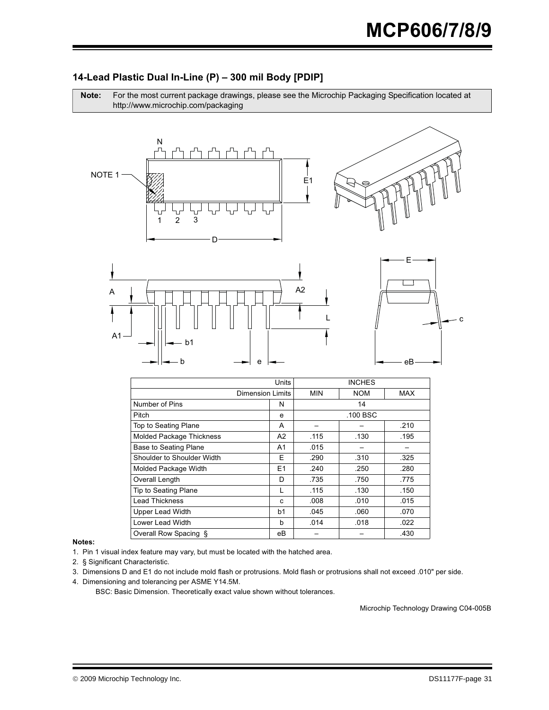#### 14-Lead Plastic Dual In-Line (P) - 300 mil Body [PDIP]

Note: For the most current package drawings, please see the Microchip Packaging Specification located at http://www.microchip.com/packaging



|                                 | <b>Units</b>            |          | <b>INCHES</b> |            |  |  |
|---------------------------------|-------------------------|----------|---------------|------------|--|--|
|                                 | <b>Dimension Limits</b> |          | <b>NOM</b>    | <b>MAX</b> |  |  |
| Number of Pins                  | N                       | 14       |               |            |  |  |
| Pitch                           | e                       | .100 BSC |               |            |  |  |
| Top to Seating Plane            | A                       | .210     |               |            |  |  |
| <b>Molded Package Thickness</b> | A2                      | .115     | .130          | .195       |  |  |
| <b>Base to Seating Plane</b>    | A1                      | .015     |               |            |  |  |
| Shoulder to Shoulder Width      | E                       | .290     | .310          | .325       |  |  |
| Molded Package Width            | E <sub>1</sub>          | .240     | .250          | .280       |  |  |
| Overall Length                  | D                       | .735     | .750          | .775       |  |  |
| Tip to Seating Plane            | L                       | .115     | .130          | .150       |  |  |
| <b>Lead Thickness</b>           | C                       | .008     | .010          | .015       |  |  |
| Upper Lead Width                | b1                      | .045     | .060          | .070       |  |  |
| Lower Lead Width                | b                       | .014     | .018          | .022       |  |  |
| Overall Row Spacing §           | eВ                      |          |               | .430       |  |  |

#### Notes:

- 1. Pin 1 visual index feature may vary, but must be located with the hatched area.
- 2. § Significant Characteristic.
- 3. Dimensions D and E1 do not include mold flash or protrusions. Mold flash or protrusions shall not exceed .010" per side.
- 4. Dimensioning and tolerancing per ASME Y14.5M.

BSC: Basic Dimension. Theoretically exact value shown without tolerances.

Microchip Technology Drawing C04-005B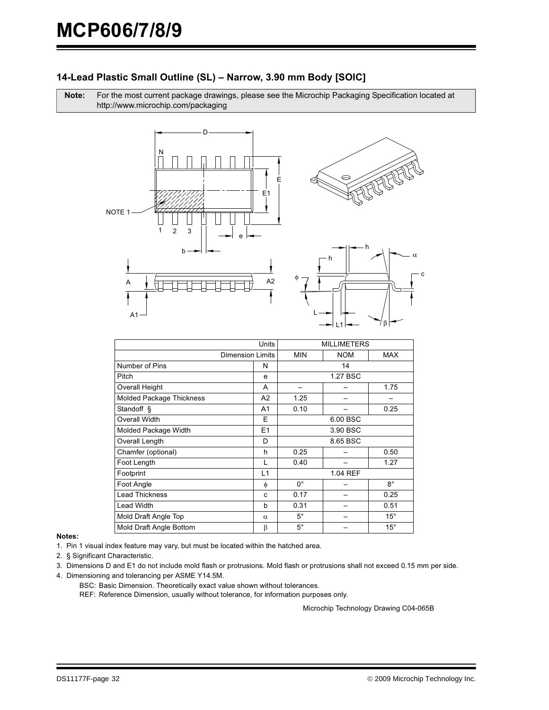#### 14-Lead Plastic Small Outline (SL) - Narrow, 3.90 mm Body [SOIC]

For the most current package drawings, please see the Microchip Packaging Specification located at Note: http://www.microchip.com/packaging





|                                 | Units                   |                             | <b>MILLIMETERS</b> |              |  |
|---------------------------------|-------------------------|-----------------------------|--------------------|--------------|--|
|                                 | <b>Dimension Limits</b> | <b>MIN</b><br><b>NOM</b>    |                    | <b>MAX</b>   |  |
| Number of Pins                  | N                       |                             | 14                 |              |  |
| Pitch                           | e                       | 1.27 BSC                    |                    |              |  |
| Overall Height                  | A                       |                             |                    | 1.75         |  |
| <b>Molded Package Thickness</b> | A2                      | 1.25                        |                    |              |  |
| Standoff §                      | A <sub>1</sub>          | 0.10<br>0.25                |                    |              |  |
| Overall Width                   | Е                       | 6.00 BSC                    |                    |              |  |
| Molded Package Width            | E1                      | 3.90 BSC                    |                    |              |  |
| Overall Length                  | D                       | 8.65 BSC                    |                    |              |  |
| Chamfer (optional)              | h                       | 0.25<br>0.50                |                    |              |  |
| Foot Length                     | L                       | 0.40<br>1.27                |                    |              |  |
| Footprint                       | L1                      | 1.04 REF                    |                    |              |  |
| Foot Angle                      | $\phi$                  | $0^{\circ}$                 |                    | $8^{\circ}$  |  |
| <b>Lead Thickness</b>           | C                       | 0.17<br>0.25                |                    |              |  |
| Lead Width                      | b                       | 0.31                        |                    | 0.51         |  |
| Mold Draft Angle Top            | $\alpha$                | $5^{\circ}$<br>$15^{\circ}$ |                    |              |  |
| Mold Draft Angle Bottom         | β                       | $5^{\circ}$                 |                    | $15^{\circ}$ |  |

Notes:

1. Pin 1 visual index feature may vary, but must be located within the hatched area.

2. § Significant Characteristic.

3. Dimensions D and E1 do not include mold flash or protrusions. Mold flash or protrusions shall not exceed 0.15 mm per side.

- 4. Dimensioning and tolerancing per ASME Y14.5M.
	- BSC: Basic Dimension. Theoretically exact value shown without tolerances.

REF: Reference Dimension, usually without tolerance, for information purposes only.

Microchip Technology Drawing C04-065B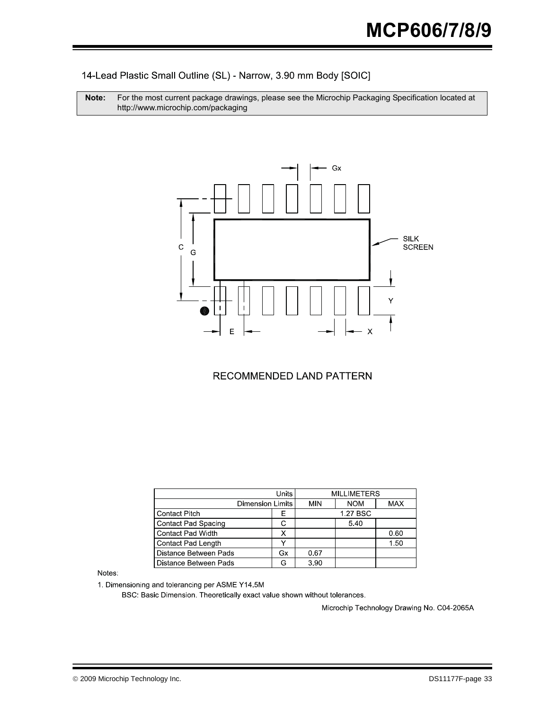14-Lead Plastic Small Outline (SL) - Narrow, 3.90 mm Body [SOIC]

Note: For the most current package drawings, please see the Microchip Packaging Specification located at http://www.microchip.com/packaging



#### RECOMMENDED LAND PATTERN

|                            | Units            | <b>MILLIMETERS</b> |            |            |
|----------------------------|------------------|--------------------|------------|------------|
|                            | Dimension Limits |                    | <b>NOM</b> | <b>MAX</b> |
| <b>Contact Pitch</b>       | Е                | 1.27 BSC           |            |            |
| <b>Contact Pad Spacing</b> |                  |                    | 5.40       |            |
| Contact Pad Width          |                  |                    |            | 0.60       |
| Contact Pad Length         |                  |                    |            | 1.50       |
| Distance Between Pads      | Gx               | 0.67               |            |            |
| Distance Between Pads      |                  | 3.90               |            |            |

Notes:

1. Dimensioning and tolerancing per ASME Y14.5M

BSC: Basic Dimension. Theoretically exact value shown without tolerances.

Microchip Technology Drawing No. C04-2065A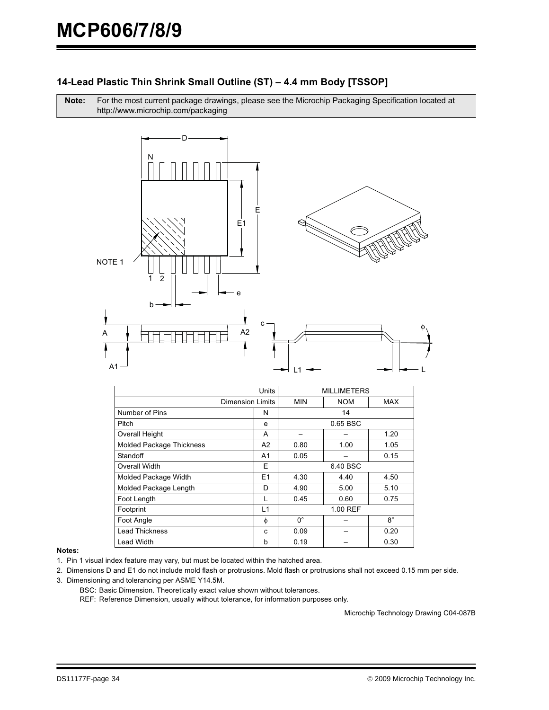#### 14-Lead Plastic Thin Shrink Small Outline (ST) - 4.4 mm Body [TSSOP]

Note: For the most current package drawings, please see the Microchip Packaging Specification located at http://www.microchip.com/packaging



|                                 | Units                   |                      | <b>MILLIMETERS</b> |             |  |
|---------------------------------|-------------------------|----------------------|--------------------|-------------|--|
|                                 | <b>Dimension Limits</b> | <b>MIN</b>           | <b>NOM</b>         | <b>MAX</b>  |  |
| Number of Pins                  | N                       | 14                   |                    |             |  |
| Pitch                           | e                       | 0.65 BSC             |                    |             |  |
| <b>Overall Height</b>           | A                       |                      |                    | 1.20        |  |
| <b>Molded Package Thickness</b> | A <sub>2</sub>          | 0.80                 | 1.00               | 1.05        |  |
| Standoff                        | A <sub>1</sub>          | 0.05                 |                    | 0.15        |  |
| Overall Width                   | E                       | 6.40 BSC             |                    |             |  |
| Molded Package Width            | E <sub>1</sub>          | 4.30<br>4.40<br>4.50 |                    |             |  |
| Molded Package Length           | D                       | 4.90<br>5.00         |                    | 5.10        |  |
| Foot Length                     | L                       | 0.45                 | 0.60               | 0.75        |  |
| Footprint                       | L1                      | 1.00 REF             |                    |             |  |
| Foot Angle                      | φ                       | $0^{\circ}$          |                    | $8^{\circ}$ |  |
| <b>Lead Thickness</b>           | C                       | 0.09                 |                    | 0.20        |  |
| Lead Width                      | b                       | 0.19                 |                    | 0.30        |  |

#### Notes:

1. Pin 1 visual index feature may vary, but must be located within the hatched area.

2. Dimensions D and E1 do not include mold flash or protrusions. Mold flash or protrusions shall not exceed 0.15 mm per side.

- 3. Dimensioning and tolerancing per ASME Y14.5M.
	- BSC: Basic Dimension. Theoretically exact value shown without tolerances.

REF: Reference Dimension, usually without tolerance, for information purposes only.

Microchip Technology Drawing C04-087B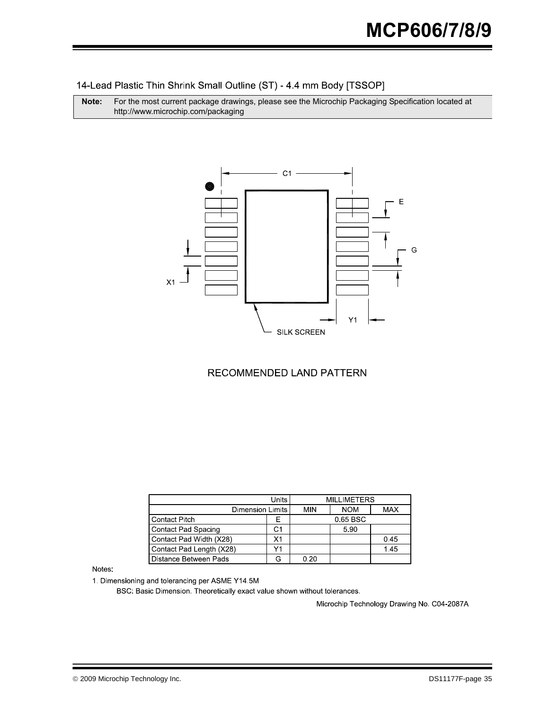#### 14-Lead Plastic Thin Shrink Small Outline (ST) - 4.4 mm Body [TSSOP]

**Note:** For the most current package drawings, please see the Microchip Packaging Specification located at http://www.microchip.com/packaging



#### RECOMMENDED LAND PATTERN

| Units                    |    | <b>MILLIMETERS</b> |            |            |
|--------------------------|----|--------------------|------------|------------|
| <b>Dimension Limits</b>  |    | MIN                | <b>NOM</b> | <b>MAX</b> |
| <b>Contact Pitch</b>     | E  | 0.65 BSC           |            |            |
| Contact Pad Spacing      | C1 |                    | 5.90       |            |
| Contact Pad Width (X28)  | Χ1 | 0.45               |            |            |
| Contact Pad Length (X28) |    |                    |            | 1.45       |
| Distance Between Pads    | э  | 0.20               |            |            |

Notes:

1. Dimensioning and tolerancing per ASME Y14.5M

BSC: Basic Dimension. Theoretically exact value shown without tolerances.

Microchip Technology Drawing No. C04-2087A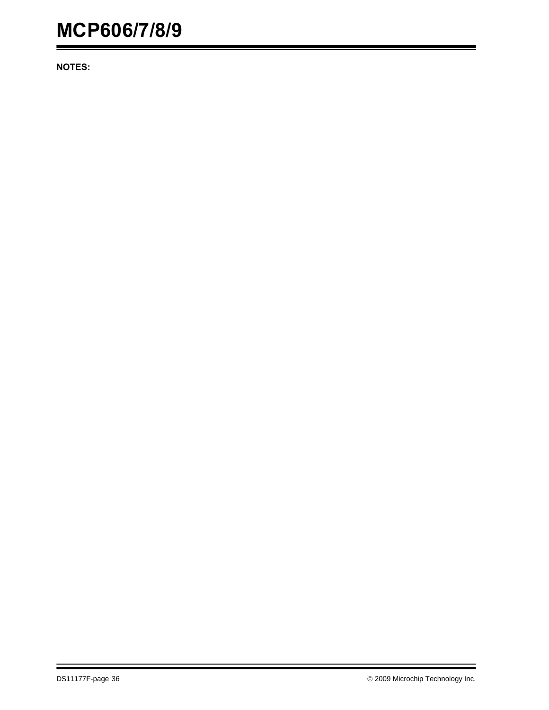**NOTES:**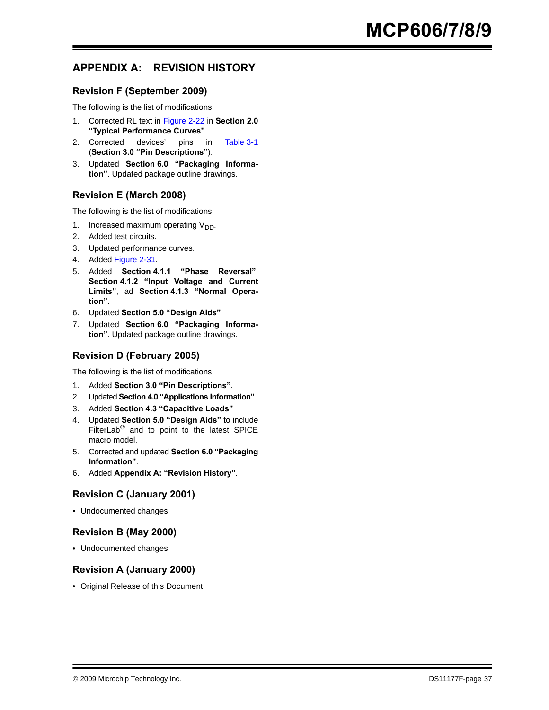#### **APPENDIX A: REVISION HISTORY**

#### **Revision F (September 2009)**

The following is the list of modifications:

- 1. Corrected RL text in [Figure 2-22](#page-9-1) in **[Section 2.0](#page-6-0) ["Typical Performance Curves"](#page-6-0)**.
- 2. Corrected devices' pins in [Table 3-1](#page-12-2) (**[Section 3.0 "Pin Descriptions"](#page-12-1)**).
- 3. Updated **[Section 6.0 "Packaging Informa](#page-22-0)[tion"](#page-22-0)**. Updated package outline drawings.

#### **Revision E (March 2008)**

The following is the list of modifications:

- 1. Increased maximum operating  $V_{DD}$ .
- 2. Added test circuits.
- 3. Updated performance curves.
- 4. Added [Figure 2-31](#page-11-1).
- 5. Added **[Section 4.1.1 "Phase Reversal"](#page-14-4)**, **[Section 4.1.2 "Input Voltage and Current](#page-14-5) [Limits"](#page-14-5)**, ad **[Section 4.1.3 "Normal Opera](#page-14-6)[tion"](#page-14-6)**.
- 6. Updated **[Section 5.0 "Design Aids"](#page-20-0)**
- 7. Updated **[Section 6.0 "Packaging Informa](#page-22-0)[tion"](#page-22-0)**. Updated package outline drawings.

#### **Revision D (February 2005)**

The following is the list of modifications:

- 1. Added **[Section 3.0 "Pin Descriptions"](#page-12-1)**.
- 2. Updated **[Section 4.0 "Applications Information"](#page-14-7)**.
- 3. Added **[Section 4.3 "Capacitive Loads"](#page-15-3)**
- 4. Updated **[Section 5.0 "Design Aids"](#page-20-0)** to include FilterLab® and to point to the latest SPICE macro model.
- 5. Corrected and updated **[Section 6.0 "Packaging](#page-22-0) [Information"](#page-22-0)**.
- 6. Added **Appendix A: "Revision History"**.

#### **Revision C (January 2001)**

• Undocumented changes

#### **Revision B (May 2000)**

• Undocumented changes

#### **Revision A (January 2000)**

• Original Release of this Document.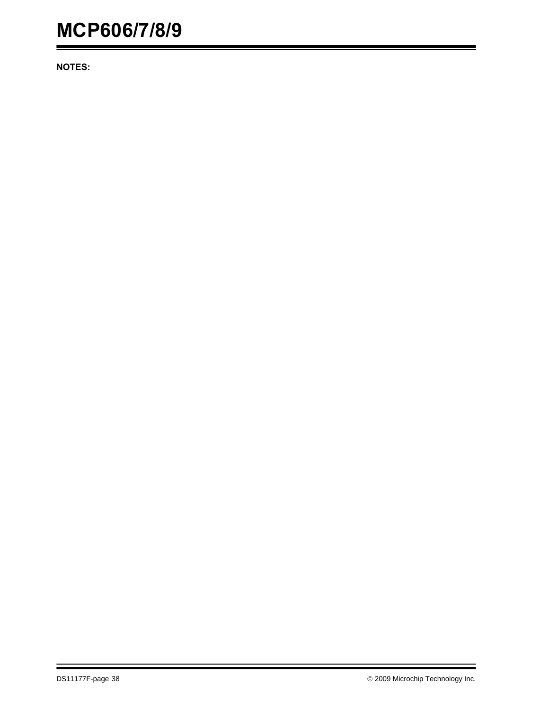**NOTES:**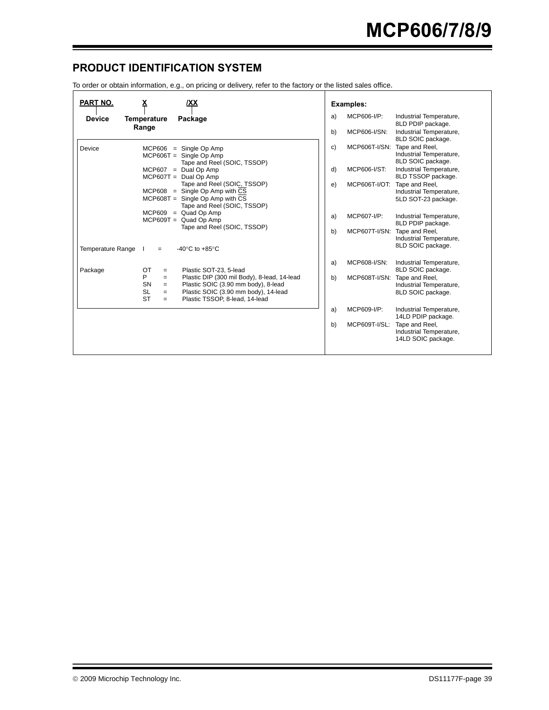#### **PRODUCT IDENTIFICATION SYSTEM**

To order or obtain information, e.g., on pricing or delivery, refer to the factory or the listed sales office.

| PART NO.          | ×<br><b>XX</b>                                                                                                                                                                                                                       | <b>Examples:</b>                   |                                                                  |
|-------------------|--------------------------------------------------------------------------------------------------------------------------------------------------------------------------------------------------------------------------------------|------------------------------------|------------------------------------------------------------------|
| <b>Device</b>     | <b>Temperature</b><br>Package                                                                                                                                                                                                        | MCP606-I/P:<br>a)                  | Industrial Temperature,<br>8LD PDIP package.                     |
|                   | Range                                                                                                                                                                                                                                | b)<br>MCP606-I/SN:                 | Industrial Temperature,<br>8LD SOIC package.                     |
| Device            | $MCP606 =$ Single Op Amp<br>$MCP606T =$ Single Op Amp<br>Tape and Reel (SOIC, TSSOP)                                                                                                                                                 | MCP606T-I/SN: Tape and Reel,<br>c) | Industrial Temperature,<br>8LD SOIC package.                     |
|                   | $MCP607 = Dual Op Amp$<br>$MCP607T = Dual Op Amp$                                                                                                                                                                                    | MCP606-I/ST:<br>d)                 | Industrial Temperature,<br>8LD TSSOP package.                    |
|                   | Tape and Reel (SOIC, TSSOP)<br>MCP608 = Single Op Amp with $\overline{CS}$<br>$MCP608T =$ Single Op Amp with CS<br>Tape and Reel (SOIC, TSSOP)                                                                                       | MCP606T-I/OT:<br>e)                | Tape and Reel,<br>Industrial Temperature,<br>5LD SOT-23 package. |
|                   | $MCP609 = Quad Op Amp$<br>$MCP609T = Quad Op Amp$                                                                                                                                                                                    | MCP607-I/P:<br>a)                  | Industrial Temperature,<br>8LD PDIP package.                     |
| Temperature Range | Tape and Reel (SOIC, TSSOP)<br>$-40^{\circ}$ C to $+85^{\circ}$ C<br>$=$                                                                                                                                                             | MCP607T-I/SN: Tape and Reel,<br>b) | Industrial Temperature,<br>8LD SOIC package.                     |
| Package           | <b>OT</b><br>Plastic SOT-23, 5-lead<br>$=$                                                                                                                                                                                           | MCP608-I/SN:<br>a)                 | Industrial Temperature,<br>8LD SOIC package.                     |
|                   | P<br>Plastic DIP (300 mil Body), 8-lead, 14-lead<br>$=$<br>Plastic SOIC (3.90 mm body), 8-lead<br><b>SN</b><br>$=$<br><b>SL</b><br>Plastic SOIC (3.90 mm body), 14-lead<br>$=$<br><b>ST</b><br>Plastic TSSOP, 8-lead, 14-lead<br>$=$ | MCP608T-I/SN: Tape and Reel,<br>b) | Industrial Temperature,<br>8LD SOIC package.                     |
|                   |                                                                                                                                                                                                                                      | MCP609-I/P:<br>a)                  | Industrial Temperature,<br>14LD PDIP package.                    |
|                   |                                                                                                                                                                                                                                      | MCP609T-I/SL:<br>b)                | Tape and Reel,<br>Industrial Temperature,<br>14LD SOIC package.  |
|                   |                                                                                                                                                                                                                                      |                                    |                                                                  |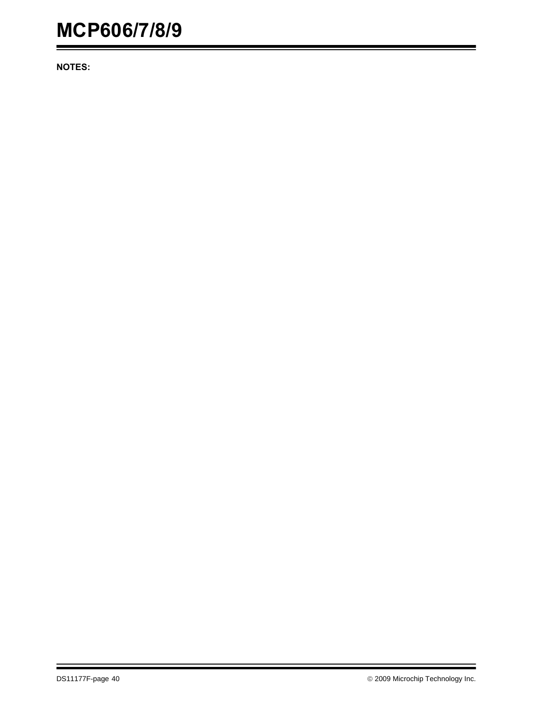**NOTES:**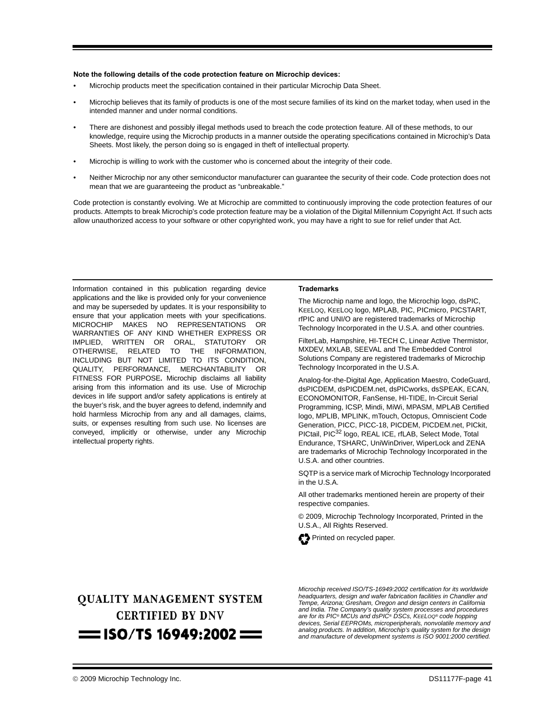#### **Note the following details of the code protection feature on Microchip devices:**

- Microchip products meet the specification contained in their particular Microchip Data Sheet.
- Microchip believes that its family of products is one of the most secure families of its kind on the market today, when used in the intended manner and under normal conditions.
- There are dishonest and possibly illegal methods used to breach the code protection feature. All of these methods, to our knowledge, require using the Microchip products in a manner outside the operating specifications contained in Microchip's Data Sheets. Most likely, the person doing so is engaged in theft of intellectual property.
- Microchip is willing to work with the customer who is concerned about the integrity of their code.
- Neither Microchip nor any other semiconductor manufacturer can guarantee the security of their code. Code protection does not mean that we are guaranteeing the product as "unbreakable."

Code protection is constantly evolving. We at Microchip are committed to continuously improving the code protection features of our products. Attempts to break Microchip's code protection feature may be a violation of the Digital Millennium Copyright Act. If such acts allow unauthorized access to your software or other copyrighted work, you may have a right to sue for relief under that Act.

Information contained in this publication regarding device applications and the like is provided only for your convenience and may be superseded by updates. It is your responsibility to ensure that your application meets with your specifications. MICROCHIP MAKES NO REPRESENTATIONS OR WARRANTIES OF ANY KIND WHETHER EXPRESS OR IMPLIED, WRITTEN OR ORAL, STATUTORY OR OTHERWISE, RELATED TO THE INFORMATION, INCLUDING BUT NOT LIMITED TO ITS CONDITION, QUALITY, PERFORMANCE, MERCHANTABILITY OR FITNESS FOR PURPOSE**.** Microchip disclaims all liability arising from this information and its use. Use of Microchip devices in life support and/or safety applications is entirely at the buyer's risk, and the buyer agrees to defend, indemnify and hold harmless Microchip from any and all damages, claims, suits, or expenses resulting from such use. No licenses are conveyed, implicitly or otherwise, under any Microchip intellectual property rights.

#### **Trademarks**

The Microchip name and logo, the Microchip logo, dsPIC, KEELOQ, KEELOQ logo, MPLAB, PIC, PICmicro, PICSTART, rfPIC and UNI/O are registered trademarks of Microchip Technology Incorporated in the U.S.A. and other countries.

FilterLab, Hampshire, HI-TECH C, Linear Active Thermistor, MXDEV, MXLAB, SEEVAL and The Embedded Control Solutions Company are registered trademarks of Microchip Technology Incorporated in the U.S.A.

Analog-for-the-Digital Age, Application Maestro, CodeGuard, dsPICDEM, dsPICDEM.net, dsPICworks, dsSPEAK, ECAN, ECONOMONITOR, FanSense, HI-TIDE, In-Circuit Serial Programming, ICSP, Mindi, MiWi, MPASM, MPLAB Certified logo, MPLIB, MPLINK, mTouch, Octopus, Omniscient Code Generation, PICC, PICC-18, PICDEM, PICDEM.net, PICkit, PICtail, PIC<sup>32</sup> logo, REAL ICE, rfLAB, Select Mode, Total Endurance, TSHARC, UniWinDriver, WiperLock and ZENA are trademarks of Microchip Technology Incorporated in the U.S.A. and other countries.

SQTP is a service mark of Microchip Technology Incorporated in the U.S.A.

All other trademarks mentioned herein are property of their respective companies.

© 2009, Microchip Technology Incorporated, Printed in the U.S.A., All Rights Reserved.



### **OUALITY MANAGEMENT SYSTEM CERTIFIED BY DNV**  $=$  ISO/TS 16949:2002  $=$

*Microchip received ISO/TS-16949:2002 certification for its worldwide headquarters, design and wafer fabrication facilities in Chandler and Tempe, Arizona; Gresham, Oregon and design centers in California and India. The Company's quality system processes and procedures are for its PIC® MCUs and dsPIC® DSCs, KEELOQ® code hopping devices, Serial EEPROMs, microperipherals, nonvolatile memory and analog products. In addition, Microchip's quality system for the design and manufacture of development systems is ISO 9001:2000 certified.*